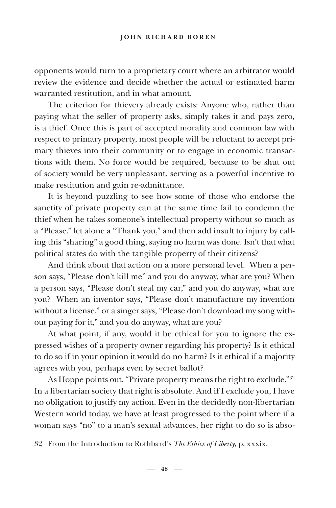opponents would turn to a proprietary court where an arbitrator would review the evidence and decide whether the actual or estimated harm warranted restitution, and in what amount.

The criterion for thievery already exists: Anyone who, rather than paying what the seller of property asks, simply takes it and pays zero, is a thief. Once this is part of accepted morality and common law with respect to primary property, most people will be reluctant to accept primary thieves into their community or to engage in economic transactions with them. No force would be required, because to be shut out of society would be very unpleasant, serving as a powerful incentive to make restitution and gain re-admittance.

It is beyond puzzling to see how some of those who endorse the sanctity of private property can at the same time fail to condemn the thief when he takes someone's intellectual property without so much as a "Please," let alone a "Thank you," and then add insult to injury by calling this "sharing" a good thing, saying no harm was done. Isn't that what political states do with the tangible property of their citizens?

And think about that action on a more personal level. When a person says, "Please don't kill me" and you do anyway, what are you? When a person says, "Please don't steal my car," and you do anyway, what are you? When an inventor says, "Please don't manufacture my invention without a license," or a singer says, "Please don't download my song without paying for it," and you do anyway, what are you?

At what point, if any, would it be ethical for you to ignore the expressed wishes of a property owner regarding his property? Is it ethical to do so if in your opinion it would do no harm? Is it ethical if a majority agrees with you, perhaps even by secret ballot?

As Hoppe points out, "Private property means the right to exclude."32 In a libertarian society that right is absolute. And if I exclude you, I have no obligation to justify my action. Even in the decidedly non-libertarian Western world today, we have at least progressed to the point where if a woman says "no" to a man's sexual advances, her right to do so is abso-

<sup>32</sup> From the Introduction to Rothbard's *The Ethics of Liberty,* p. xxxix.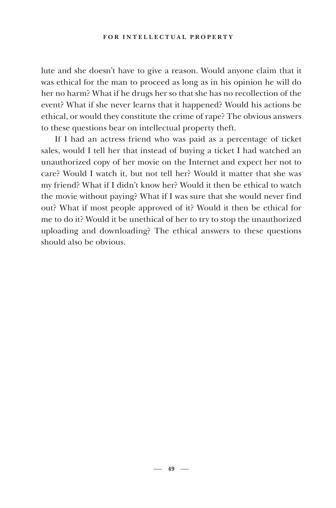lute and she doesn't have to give a reason. Would anyone claim that it was ethical for the man to proceed as long as in his opinion he will do her no harm? What if he drugs her so that she has no recollection of the event? What if she never learns that it happened? Would his actions be ethical, or would they constitute the crime of rape? The obvious answers to these questions bear on intellectual property theft.

If I had an actress friend who was paid as a percentage of ticket sales, would I tell her that instead of buying a ticket I had watched an unauthorized copy of her movie on the Internet and expect her not to care? Would I watch it, but not tell her? Would it matter that she was my friend? What if I didn't know her? Would it then be ethical to watch the movie without paying? What if I was sure that she would never find out? What if most people approved of it? Would it then be ethical for me to do it? Would it be unethical of her to try to stop the unauthorized uploading and downloading? The ethical answers to these questions should also be obvious.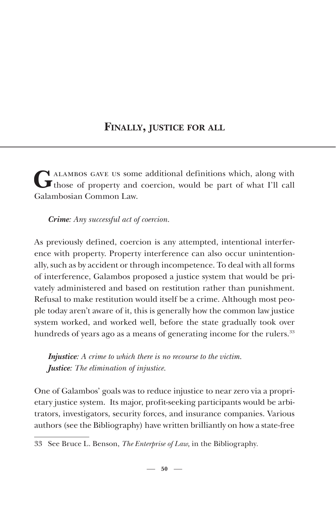## **FINALLY, JUSTICE FOR ALL**

 $G$ <sup>ALAMBOS GAVE US some additional definitions which, along with those of property and coercion, would be part of what I'll call</sup> Galambosian Common Law.

*Crime: Any successful act of coercion.*

As previously defined, coercion is any attempted, intentional interference with property. Property interference can also occur unintentionally, such as by accident or through incompetence. To deal with all forms of interference, Galambos proposed a justice system that would be privately administered and based on restitution rather than punishment. Refusal to make restitution would itself be a crime. Although most people today aren't aware of it, this is generally how the common law justice system worked, and worked well, before the state gradually took over hundreds of years ago as a means of generating income for the rulers.<sup>33</sup>

*Injustice: A crime to which there is no recourse to the victim. Justice: The elimination of injustice*.

One of Galambos' goals was to reduce injustice to near zero via a proprietary justice system. Its major, profit-seeking participants would be arbitrators, investigators, security forces, and insurance companies. Various authors (see the Bibliography) have written brilliantly on how a state-free

<sup>33</sup> See Bruce L. Benson, *The Enterprise of Law,* in the Bibliography*.*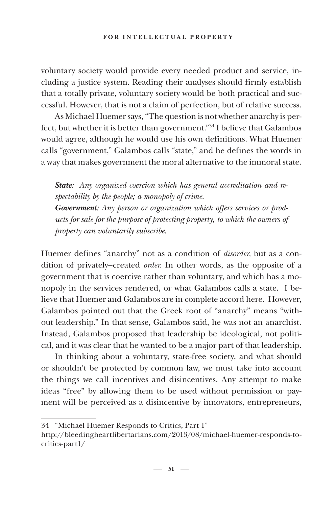voluntary society would provide every needed product and service, including a justice system. Reading their analyses should firmly establish that a totally private, voluntary society would be both practical and successful. However, that is not a claim of perfection, but of relative success.

As Michael Huemer says, "The question is not whether anarchy is perfect, but whether it is better than government."34 I believe that Galambos would agree, although he would use his own definitions. What Huemer calls "government," Galambos calls "state," and he defines the words in a way that makes government the moral alternative to the immoral state.

*State: Any organized coercion which has general accreditation and respectability by the people; a monopoly of crime. Government: Any person or organization which offers services or products for sale for the purpose of protecting property, to which the owners of property can voluntarily subscribe*.

Huemer defines "anarchy" not as a condition of *disorder*, but as a condition of privately–created *order.* In other words, as the opposite of a government that is coercive rather than voluntary, and which has a monopoly in the services rendered, or what Galambos calls a state. I believe that Huemer and Galambos are in complete accord here. However, Galambos pointed out that the Greek root of "anarchy" means "without leadership." In that sense, Galambos said, he was not an anarchist. Instead, Galambos proposed that leadership be ideological, not political, and it was clear that he wanted to be a major part of that leadership.

In thinking about a voluntary, state-free society, and what should or shouldn't be protected by common law, we must take into account the things we call incentives and disincentives. Any attempt to make ideas "free" by allowing them to be used without permission or payment will be perceived as a disincentive by innovators, entrepreneurs,

<sup>34 &</sup>quot;Michael Huemer Responds to Critics, Part 1"

http://bleedingheartlibertarians.com/2013/08/michael-huemer-responds-tocritics-part1/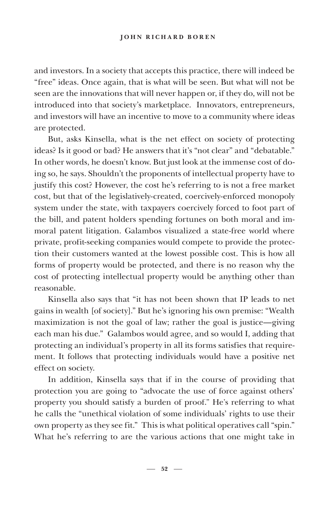### **JOHN RICHARD BOREN**

and investors. In a society that accepts this practice, there will indeed be "free" ideas. Once again, that is what will be seen. But what will not be seen are the innovations that will never happen or, if they do, will not be introduced into that society's marketplace. Innovators, entrepreneurs, and investors will have an incentive to move to a community where ideas are protected.

But, asks Kinsella, what is the net effect on society of protecting ideas? Is it good or bad? He answers that it's "not clear" and "debatable." In other words, he doesn't know. But just look at the immense cost of doing so, he says. Shouldn't the proponents of intellectual property have to justify this cost? However, the cost he's referring to is not a free market cost, but that of the legislatively-created, coercively-enforced monopoly system under the state, with taxpayers coercively forced to foot part of the bill, and patent holders spending fortunes on both moral and immoral patent litigation. Galambos visualized a state-free world where private, profit-seeking companies would compete to provide the protection their customers wanted at the lowest possible cost. This is how all forms of property would be protected, and there is no reason why the cost of protecting intellectual property would be anything other than reasonable.

Kinsella also says that "it has not been shown that IP leads to net gains in wealth [of society]." But he's ignoring his own premise: "Wealth maximization is not the goal of law; rather the goal is justice—giving each man his due." Galambos would agree, and so would I, adding that protecting an individual's property in all its forms satisfies that requirement. It follows that protecting individuals would have a positive net effect on society.

In addition, Kinsella says that if in the course of providing that protection you are going to "advocate the use of force against others' property you should satisfy a burden of proof." He's referring to what he calls the "unethical violation of some individuals' rights to use their own property as they see fit." This is what political operatives call "spin." What he's referring to are the various actions that one might take in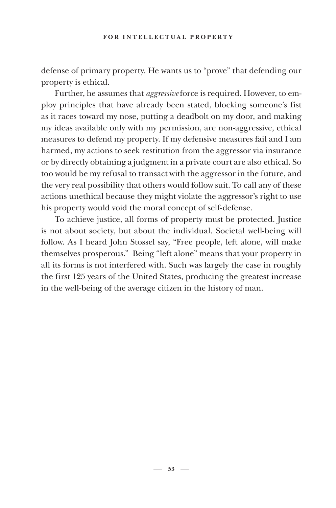defense of primary property. He wants us to "prove" that defending our property is ethical.

Further, he assumes that *aggressive* force is required. However, to employ principles that have already been stated, blocking someone's fist as it races toward my nose, putting a deadbolt on my door, and making my ideas available only with my permission, are non-aggressive, ethical measures to defend my property. If my defensive measures fail and I am harmed, my actions to seek restitution from the aggressor via insurance or by directly obtaining a judgment in a private court are also ethical. So too would be my refusal to transact with the aggressor in the future, and the very real possibility that others would follow suit. To call any of these actions unethical because they might violate the aggressor's right to use his property would void the moral concept of self-defense.

To achieve justice, all forms of property must be protected. Justice is not about society, but about the individual. Societal well-being will follow. As I heard John Stossel say, "Free people, left alone, will make themselves prosperous." Being "left alone" means that your property in all its forms is not interfered with. Such was largely the case in roughly the first 125 years of the United States, producing the greatest increase in the well-being of the average citizen in the history of man.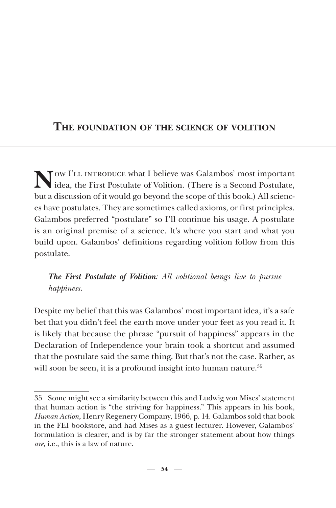# **THE FOUNDATION OF THE SCIENCE OF VOLITION**

Now I'll introduce what I believe was Galambos' most important idea, the First Postulate of Volition. (There is a Second Postulate, but a discussion of it would go beyond the scope of this book.) All sciences have postulates. They are sometimes called axioms, or first principles. Galambos preferred "postulate" so I'll continue his usage. A postulate is an original premise of a science. It's where you start and what you build upon. Galambos' definitions regarding volition follow from this postulate.

*The First Postulate of Volition: All volitional beings live to pursue happiness.*

Despite my belief that this was Galambos' most important idea, it's a safe bet that you didn't feel the earth move under your feet as you read it. It is likely that because the phrase "pursuit of happiness" appears in the Declaration of Independence your brain took a shortcut and assumed that the postulate said the same thing. But that's not the case. Rather, as will soon be seen, it is a profound insight into human nature.<sup>35</sup>

<sup>35</sup> Some might see a similarity between this and Ludwig von Mises' statement that human action is "the striving for happiness." This appears in his book, *Human Action,* Henry Regenery Company, 1966, p. 14*.* Galambos sold that book in the FEI bookstore, and had Mises as a guest lecturer. However, Galambos' formulation is clearer, and is by far the stronger statement about how things *are,* i.e., this is a law of nature.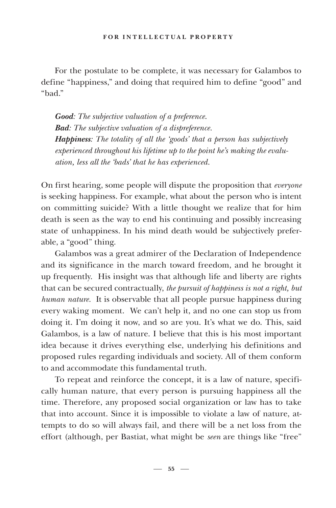For the postulate to be complete, it was necessary for Galambos to define "happiness," and doing that required him to define "good" and "bad."

*Good: The subjective valuation of a preference*. *Bad: The subjective valuation of a dispreference. Happiness: The totality of all the 'goods' that a person has subjectively experienced throughout his lifetime up to the point he's making the evaluation, less all the 'bads' that he has experienced.*

On first hearing, some people will dispute the proposition that *everyone* is seeking happiness. For example, what about the person who is intent on committing suicide? With a little thought we realize that for him death is seen as the way to end his continuing and possibly increasing state of unhappiness. In his mind death would be subjectively preferable, a "good" thing.

Galambos was a great admirer of the Declaration of Independence and its significance in the march toward freedom, and he brought it up frequently. His insight was that although life and liberty are rights that can be secured contractually, *the pursuit of happiness is not a right, but human nature.* It is observable that all people pursue happiness during every waking moment. We can't help it, and no one can stop us from doing it. I'm doing it now, and so are you. It's what we do. This, said Galambos, is a law of nature. I believe that this is his most important idea because it drives everything else, underlying his definitions and proposed rules regarding individuals and society. All of them conform to and accommodate this fundamental truth.

To repeat and reinforce the concept, it is a law of nature, specifically human nature, that every person is pursuing happiness all the time. Therefore, any proposed social organization or law has to take that into account. Since it is impossible to violate a law of nature, attempts to do so will always fail, and there will be a net loss from the effort (although, per Bastiat, what might be *seen* are things like "free"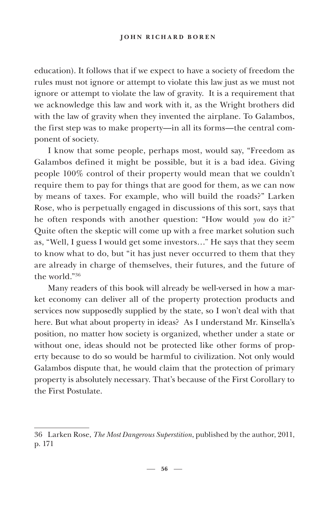### **JOHN RICHARD BOREN**

education). It follows that if we expect to have a society of freedom the rules must not ignore or attempt to violate this law just as we must not ignore or attempt to violate the law of gravity. It is a requirement that we acknowledge this law and work with it, as the Wright brothers did with the law of gravity when they invented the airplane. To Galambos, the first step was to make property—in all its forms—the central component of society.

I know that some people, perhaps most, would say, "Freedom as Galambos defined it might be possible, but it is a bad idea. Giving people 100% control of their property would mean that we couldn't require them to pay for things that are good for them, as we can now by means of taxes. For example, who will build the roads?" Larken Rose, who is perpetually engaged in discussions of this sort, says that he often responds with another question: "How would *you* do it?" Quite often the skeptic will come up with a free market solution such as, "Well, I guess I would get some investors…" He says that they seem to know what to do, but "it has just never occurred to them that they are already in charge of themselves, their futures, and the future of the world."36

Many readers of this book will already be well-versed in how a market economy can deliver all of the property protection products and services now supposedly supplied by the state, so I won't deal with that here. But what about property in ideas? As I understand Mr. Kinsella's position, no matter how society is organized, whether under a state or without one, ideas should not be protected like other forms of property because to do so would be harmful to civilization. Not only would Galambos dispute that, he would claim that the protection of primary property is absolutely necessary. That's because of the First Corollary to the First Postulate.

 $-56$   $-$ 

<sup>36</sup> Larken Rose, *The Most Dangerous Superstition*, published by the author, 2011, p. 171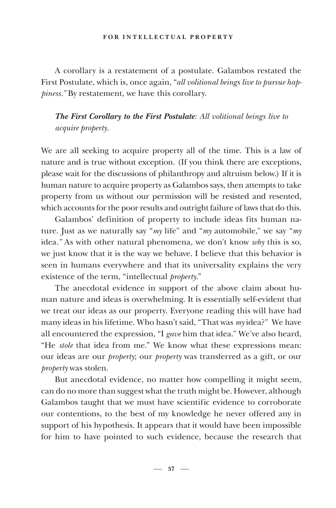A corollary is a restatement of a postulate. Galambos restated the First Postulate, which is, once again, "*all volitional beings live to pursue happiness."* By restatement, we have this corollary.

*The First Corollary to the First Postulate: All volitional beings live to acquire property.*

We are all seeking to acquire property all of the time. This is a law of nature and is true without exception. (If you think there are exceptions, please wait for the discussions of philanthropy and altruism below.) If it is human nature to acquire property as Galambos says, then attempts to take property from us without our permission will be resisted and resented, which accounts for the poor results and outright failure of laws that do this.

Galambos' definition of property to include ideas fits human nature. Just as we naturally say "*my* life" and "*my* automobile," we say "*my*  idea*."* As with other natural phenomena*,* we don't know *why* this is so, we just know that it is the way we behave. I believe that this behavior is seen in humans everywhere and that its universality explains the very existence of the term, "intellectual *property*."

The anecdotal evidence in support of the above claim about human nature and ideas is overwhelming. It is essentially self-evident that we treat our ideas as our property. Everyone reading this will have had many ideas in his lifetime. Who hasn't said, "That was *my* idea?" We have all encountered the expression, "I *gave* him that idea." We've also heard, "He *stold* that idea from me." We know what these expressions mean: our ideas are our *property*; our *property* was transferred as a gift, or our *property* was stolen.

But anecdotal evidence, no matter how compelling it might seem, can do no more than suggest what the truth might be. However, although Galambos taught that we must have scientific evidence to corroborate our contentions, to the best of my knowledge he never offered any in support of his hypothesis. It appears that it would have been impossible for him to have pointed to such evidence, because the research that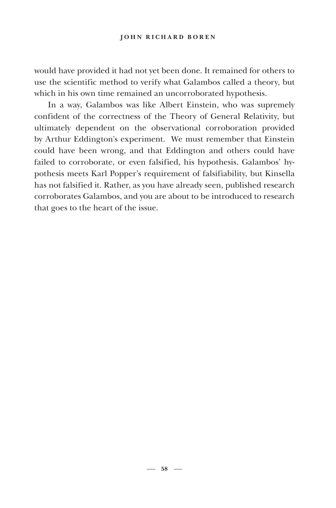would have provided it had not yet been done. It remained for others to use the scientific method to verify what Galambos called a theory, but which in his own time remained an uncorroborated hypothesis.

In a way, Galambos was like Albert Einstein, who was supremely confident of the correctness of the Theory of General Relativity, but ultimately dependent on the observational corroboration provided by Arthur Eddington's experiment. We must remember that Einstein could have been wrong, and that Eddington and others could have failed to corroborate, or even falsified, his hypothesis. Galambos' hypothesis meets Karl Popper's requirement of falsifiability, but Kinsella has not falsified it. Rather, as you have already seen, published research corroborates Galambos, and you are about to be introduced to research that goes to the heart of the issue.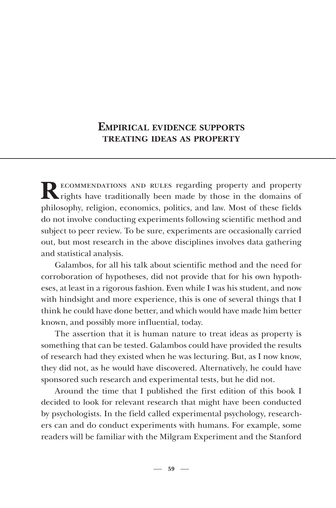## **EMPIRICAL EVIDENCE SUPPORTS TREATING IDEAS AS PROPERTY**

**RECOMMENDATIONS AND RULES regarding property and property N** rights have traditionally been made by those in the domains of philosophy, religion, economics, politics, and law. Most of these fields do not involve conducting experiments following scientific method and subject to peer review. To be sure, experiments are occasionally carried out, but most research in the above disciplines involves data gathering and statistical analysis.

Galambos, for all his talk about scientific method and the need for corroboration of hypotheses, did not provide that for his own hypotheses, at least in a rigorous fashion. Even while I was his student, and now with hindsight and more experience, this is one of several things that I think he could have done better, and which would have made him better known, and possibly more influential, today.

The assertion that it is human nature to treat ideas as property is something that can be tested. Galambos could have provided the results of research had they existed when he was lecturing. But, as I now know, they did not, as he would have discovered. Alternatively, he could have sponsored such research and experimental tests, but he did not.

Around the time that I published the first edition of this book I decided to look for relevant research that might have been conducted by psychologists. In the field called experimental psychology, researchers can and do conduct experiments with humans. For example, some readers will be familiar with the Milgram Experiment and the Stanford

 $-59 -$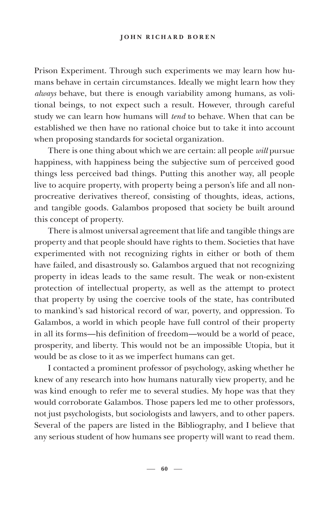Prison Experiment. Through such experiments we may learn how humans behave in certain circumstances. Ideally we might learn how they *always* behave, but there is enough variability among humans, as volitional beings, to not expect such a result. However, through careful study we can learn how humans will *tend* to behave. When that can be established we then have no rational choice but to take it into account when proposing standards for societal organization.

There is one thing about which we are certain: all people *will* pursue happiness, with happiness being the subjective sum of perceived good things less perceived bad things. Putting this another way, all people live to acquire property, with property being a person's life and all nonprocreative derivatives thereof, consisting of thoughts, ideas, actions, and tangible goods. Galambos proposed that society be built around this concept of property.

There is almost universal agreement that life and tangible things are property and that people should have rights to them. Societies that have experimented with not recognizing rights in either or both of them have failed, and disastrously so. Galambos argued that not recognizing property in ideas leads to the same result. The weak or non-existent protection of intellectual property, as well as the attempt to protect that property by using the coercive tools of the state, has contributed to mankind's sad historical record of war, poverty, and oppression. To Galambos, a world in which people have full control of their property in all its forms—his definition of freedom—would be a world of peace, prosperity, and liberty. This would not be an impossible Utopia, but it would be as close to it as we imperfect humans can get.

I contacted a prominent professor of psychology, asking whether he knew of any research into how humans naturally view property, and he was kind enough to refer me to several studies. My hope was that they would corroborate Galambos. Those papers led me to other professors, not just psychologists, but sociologists and lawyers, and to other papers. Several of the papers are listed in the Bibliography, and I believe that any serious student of how humans see property will want to read them.

 $-60 -$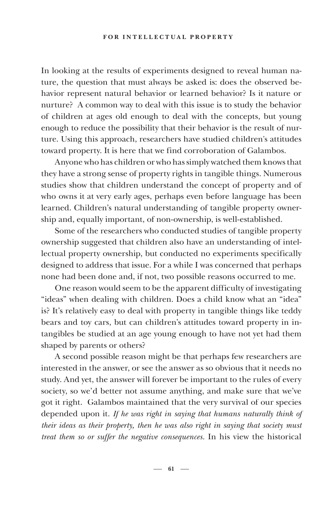In looking at the results of experiments designed to reveal human nature, the question that must always be asked is: does the observed behavior represent natural behavior or learned behavior? Is it nature or nurture? A common way to deal with this issue is to study the behavior of children at ages old enough to deal with the concepts, but young enough to reduce the possibility that their behavior is the result of nurture. Using this approach, researchers have studied children's attitudes toward property. It is here that we find corroboration of Galambos.

Anyone who has children or who has simply watched them knows that they have a strong sense of property rights in tangible things. Numerous studies show that children understand the concept of property and of who owns it at very early ages, perhaps even before language has been learned. Children's natural understanding of tangible property ownership and, equally important, of non-ownership, is well-established.

Some of the researchers who conducted studies of tangible property ownership suggested that children also have an understanding of intellectual property ownership, but conducted no experiments specifically designed to address that issue. For a while I was concerned that perhaps none had been done and, if not, two possible reasons occurred to me.

One reason would seem to be the apparent difficulty of investigating "ideas" when dealing with children. Does a child know what an "idea" is? It's relatively easy to deal with property in tangible things like teddy bears and toy cars, but can children's attitudes toward property in intangibles be studied at an age young enough to have not yet had them shaped by parents or others?

A second possible reason might be that perhaps few researchers are interested in the answer, or see the answer as so obvious that it needs no study. And yet, the answer will forever be important to the rules of every society, so we'd better not assume anything, and make sure that we've got it right. Galambos maintained that the very survival of our species depended upon it. *If he was right in saying that humans naturally think of their ideas as their property, then he was also right in saying that society must treat them so or suffer the negative consequences.* In his view the historical

 $-61 -$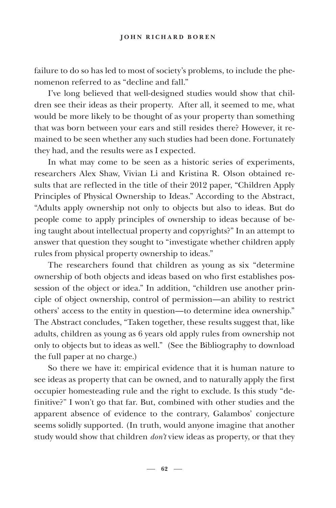failure to do so has led to most of society's problems, to include the phenomenon referred to as "decline and fall."

I've long believed that well-designed studies would show that children see their ideas as their property. After all, it seemed to me, what would be more likely to be thought of as your property than something that was born between your ears and still resides there? However, it remained to be seen whether any such studies had been done. Fortunately they had, and the results were as I expected.

In what may come to be seen as a historic series of experiments, researchers Alex Shaw, Vivian Li and Kristina R. Olson obtained results that are reflected in the title of their 2012 paper, "Children Apply Principles of Physical Ownership to Ideas." According to the Abstract, "Adults apply ownership not only to objects but also to ideas. But do people come to apply principles of ownership to ideas because of being taught about intellectual property and copyrights?" In an attempt to answer that question they sought to "investigate whether children apply rules from physical property ownership to ideas."

The researchers found that children as young as six "determine ownership of both objects and ideas based on who first establishes possession of the object or idea." In addition, "children use another principle of object ownership, control of permission—an ability to restrict others' access to the entity in question—to determine idea ownership." The Abstract concludes, "Taken together, these results suggest that, like adults, children as young as 6 years old apply rules from ownership not only to objects but to ideas as well." (See the Bibliography to download the full paper at no charge.)

So there we have it: empirical evidence that it is human nature to see ideas as property that can be owned, and to naturally apply the first occupier homesteading rule and the right to exclude. Is this study "definitive?" I won't go that far. But, combined with other studies and the apparent absence of evidence to the contrary, Galambos' conjecture seems solidly supported. (In truth, would anyone imagine that another study would show that children *don't* view ideas as property, or that they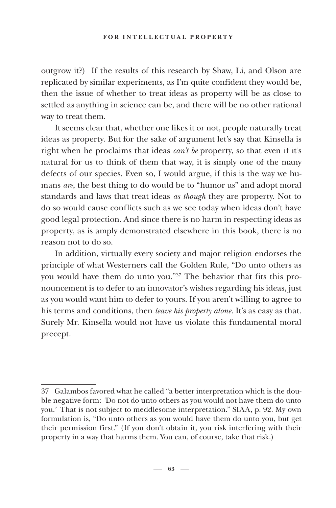outgrow it?) If the results of this research by Shaw, Li, and Olson are replicated by similar experiments, as I'm quite confident they would be, then the issue of whether to treat ideas as property will be as close to settled as anything in science can be, and there will be no other rational way to treat them.

It seems clear that, whether one likes it or not, people naturally treat ideas as property. But for the sake of argument let's say that Kinsella is right when he proclaims that ideas *can't be* property, so that even if it's natural for us to think of them that way, it is simply one of the many defects of our species. Even so, I would argue, if this is the way we humans *are*, the best thing to do would be to "humor us" and adopt moral standards and laws that treat ideas *as though* they are property. Not to do so would cause conflicts such as we see today when ideas don't have good legal protection. And since there is no harm in respecting ideas as property, as is amply demonstrated elsewhere in this book, there is no reason not to do so.

In addition, virtually every society and major religion endorses the principle of what Westerners call the Golden Rule, "Do unto others as you would have them do unto you*.*"37 The behavior that fits this pronouncement is to defer to an innovator's wishes regarding his ideas, just as you would want him to defer to yours. If you aren't willing to agree to his terms and conditions, then *leave his property alone*. It's as easy as that. Surely Mr. Kinsella would not have us violate this fundamental moral precept.

<sup>37</sup> Galambos favored what he called "a better interpretation which is the double negative form: *'*Do not do unto others as you would not have them do unto you.*'* That is not subject to meddlesome interpretation." SIAA, p. 92. My own formulation is, "Do unto others as you would have them do unto you, but get their permission first." (If you don't obtain it, you risk interfering with their property in a way that harms them. You can, of course, take that risk.)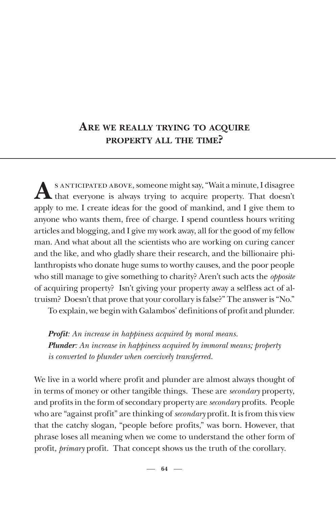## **ARE WE REALLY TRYING TO ACQUIRE PROPERTY ALL THE TIME?**

A SANTICIPATED ABOVE, someone might say, "Wait a minute, I disagree that everyone is always trying to acquire property. That doesn't apply to me. I create ideas for the good of mankind, and I give them to anyone who wants them, free of charge. I spend countless hours writing articles and blogging, and I give my work away, all for the good of my fellow man. And what about all the scientists who are working on curing cancer and the like, and who gladly share their research, and the billionaire philanthropists who donate huge sums to worthy causes, and the poor people who still manage to give something to charity? Aren't such acts the *opposite* of acquiring property? Isn't giving your property away a selfless act of altruism? Doesn't that prove that your corollary is false?" The answer is "No."

To explain, we begin with Galambos' definitions of profit and plunder.

*Profit: An increase in happiness acquired by moral means. Plunder: An increase in happiness acquired by immoral means; property is converted to plunder when coercively transferred.*

We live in a world where profit and plunder are almost always thought of in terms of money or other tangible things. These are *secondary* property, and profits in the form of secondary property are *secondary* profits. People who are "against profit" are thinking of *secondary* profit. It is from this view that the catchy slogan, "people before profits," was born. However, that phrase loses all meaning when we come to understand the other form of profit, *primary* profit. That concept shows us the truth of the corollary.

 $-64 -$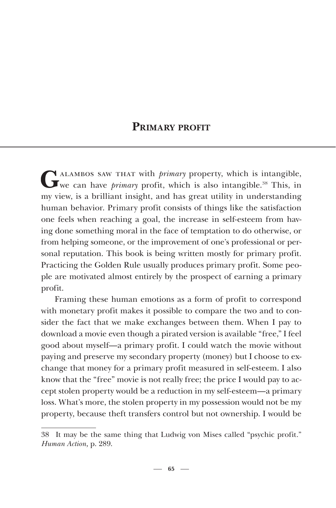### **PRIMARY PROFIT**

G ALAMBOS SAW THAT with *primary* property, which is intangible, we can have *primary* profit, which is also intangible.<sup>38</sup> This, in my view, is a brilliant insight, and has great utility in understanding human behavior. Primary profit consists of things like the satisfaction one feels when reaching a goal, the increase in self-esteem from having done something moral in the face of temptation to do otherwise, or from helping someone, or the improvement of one's professional or personal reputation. This book is being written mostly for primary profit. Practicing the Golden Rule usually produces primary profit. Some people are motivated almost entirely by the prospect of earning a primary profit.

Framing these human emotions as a form of profit to correspond with monetary profit makes it possible to compare the two and to consider the fact that we make exchanges between them. When I pay to download a movie even though a pirated version is available "free," I feel good about myself—a primary profit. I could watch the movie without paying and preserve my secondary property (money) but I choose to exchange that money for a primary profit measured in self-esteem. I also know that the "free" movie is not really free; the price I would pay to accept stolen property would be a reduction in my self-esteem—a primary loss. What's more, the stolen property in my possession would not be my property, because theft transfers control but not ownership. I would be

<sup>38</sup> It may be the same thing that Ludwig von Mises called "psychic profit*.*" *Human Action,* p. 289.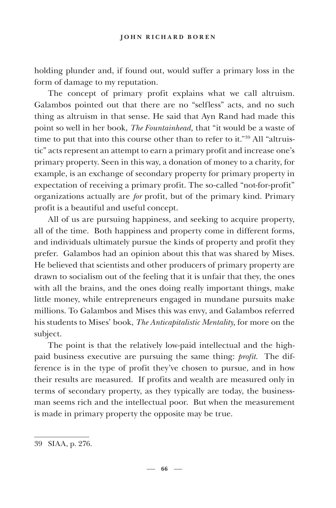holding plunder and, if found out, would suffer a primary loss in the form of damage to my reputation.

The concept of primary profit explains what we call altruism. Galambos pointed out that there are no "selfless" acts, and no such thing as altruism in that sense. He said that Ayn Rand had made this point so well in her book, *The Fountainhead,* that "it would be a waste of time to put that into this course other than to refer to it."39 All "altruistic" acts represent an attempt to earn a primary profit and increase one's primary property. Seen in this way, a donation of money to a charity, for example, is an exchange of secondary property for primary property in expectation of receiving a primary profit. The so-called "not-for-profit" organizations actually are *for* profit, but of the primary kind. Primary profit is a beautiful and useful concept.

All of us are pursuing happiness, and seeking to acquire property, all of the time. Both happiness and property come in different forms, and individuals ultimately pursue the kinds of property and profit they prefer. Galambos had an opinion about this that was shared by Mises. He believed that scientists and other producers of primary property are drawn to socialism out of the feeling that it is unfair that they, the ones with all the brains, and the ones doing really important things, make little money, while entrepreneurs engaged in mundane pursuits make millions. To Galambos and Mises this was envy, and Galambos referred his students to Mises' book, *The Anticapitalistic Mentality,* for more on the subject.

The point is that the relatively low-paid intellectual and the highpaid business executive are pursuing the same thing: *profit*. The difference is in the type of profit they've chosen to pursue, and in how their results are measured. If profits and wealth are measured only in terms of secondary property, as they typically are today, the businessman seems rich and the intellectual poor. But when the measurement is made in primary property the opposite may be true.

<sup>39</sup> SIAA, p. 276.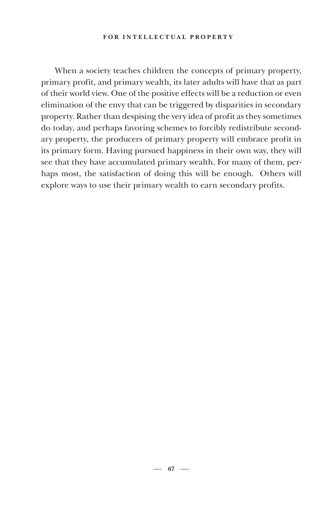#### **FOR INTELLECTUAL PROPERTY**

When a society teaches children the concepts of primary property, primary profit, and primary wealth, its later adults will have that as part of their world view. One of the positive effects will be a reduction or even elimination of the envy that can be triggered by disparities in secondary property. Rather than despising the very idea of profit as they sometimes do today, and perhaps favoring schemes to forcibly redistribute secondary property, the producers of primary property will embrace profit in its primary form. Having pursued happiness in their own way, they will see that they have accumulated primary wealth. For many of them, perhaps most, the satisfaction of doing this will be enough. Others will explore ways to use their primary wealth to earn secondary profits.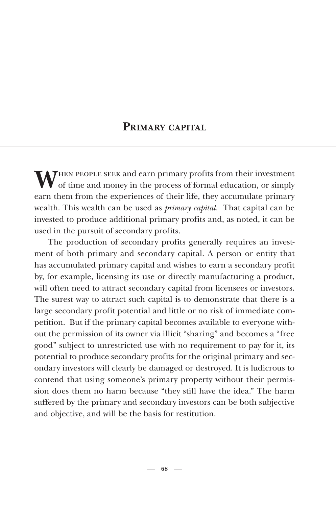## **PRIMARY CAPITAL**

**MPHEN PEOPLE SEEK and earn primary profits from their investment**  $\mathbf y$  of time and money in the process of formal education, or simply earn them from the experiences of their life, they accumulate primary wealth. This wealth can be used as *primary capital*. That capital can be invested to produce additional primary profits and, as noted, it can be used in the pursuit of secondary profits.

The production of secondary profits generally requires an investment of both primary and secondary capital. A person or entity that has accumulated primary capital and wishes to earn a secondary profit by, for example, licensing its use or directly manufacturing a product, will often need to attract secondary capital from licensees or investors. The surest way to attract such capital is to demonstrate that there is a large secondary profit potential and little or no risk of immediate competition. But if the primary capital becomes available to everyone without the permission of its owner via illicit "sharing" and becomes a "free good" subject to unrestricted use with no requirement to pay for it, its potential to produce secondary profits for the original primary and secondary investors will clearly be damaged or destroyed. It is ludicrous to contend that using someone's primary property without their permission does them no harm because "they still have the idea." The harm suffered by the primary and secondary investors can be both subjective and objective, and will be the basis for restitution.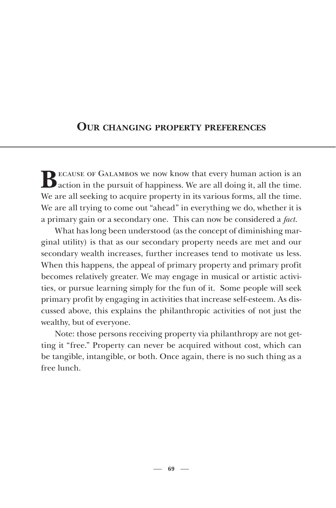## **OUR CHANGING PROPERTY PREFERENCES**

BECAUSE OF GALAMBOS we now know that every human action is an action in the pursuit of happiness. We are all doing it, all the time. We are all seeking to acquire property in its various forms, all the time. We are all trying to come out "ahead" in everything we do, whether it is a primary gain or a secondary one. This can now be considered a *fact*.

What has long been understood (as the concept of diminishing marginal utility) is that as our secondary property needs are met and our secondary wealth increases, further increases tend to motivate us less. When this happens, the appeal of primary property and primary profit becomes relatively greater. We may engage in musical or artistic activities, or pursue learning simply for the fun of it. Some people will seek primary profit by engaging in activities that increase self-esteem. As discussed above, this explains the philanthropic activities of not just the wealthy, but of everyone.

Note: those persons receiving property via philanthropy are not getting it "free." Property can never be acquired without cost, which can be tangible, intangible, or both. Once again, there is no such thing as a free lunch.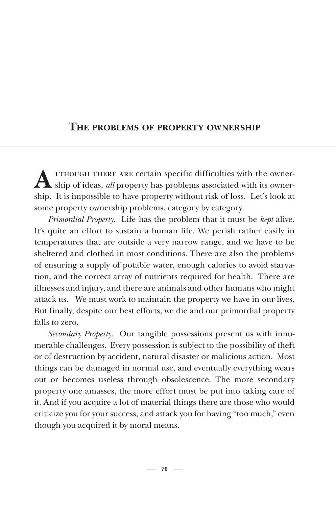## **THE PROBLEMS OF PROPERTY OWNERSHIP**

ALTHOUGH THERE ARE certain specific difficulties with the owner-<br>ship of ideas, *all* property has problems associated with its ownership. It is impossible to have property without risk of loss. Let's look at some property ownership problems, category by category.

*Primordial Property.* Life has the problem that it must be *kept* alive. It's quite an effort to sustain a human life. We perish rather easily in temperatures that are outside a very narrow range, and we have to be sheltered and clothed in most conditions. There are also the problems of ensuring a supply of potable water, enough calories to avoid starvation, and the correct array of nutrients required for health. There are illnesses and injury, and there are animals and other humans who might attack us. We must work to maintain the property we have in our lives. But finally, despite our best efforts, we die and our primordial property falls to zero.

*Secondary Property.* Our tangible possessions present us with innumerable challenges. Every possession is subject to the possibility of theft or of destruction by accident, natural disaster or malicious action. Most things can be damaged in normal use, and eventually everything wears out or becomes useless through obsolescence. The more secondary property one amasses, the more effort must be put into taking care of it. And if you acquire a lot of material things there are those who would criticize you for your success, and attack you for having "too much," even though you acquired it by moral means.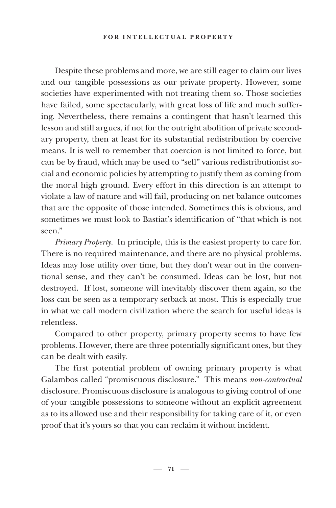Despite these problems and more, we are still eager to claim our lives and our tangible possessions as our private property. However, some societies have experimented with not treating them so. Those societies have failed, some spectacularly, with great loss of life and much suffering. Nevertheless, there remains a contingent that hasn't learned this lesson and still argues, if not for the outright abolition of private secondary property, then at least for its substantial redistribution by coercive means. It is well to remember that coercion is not limited to force, but can be by fraud, which may be used to "sell" various redistributionist social and economic policies by attempting to justify them as coming from the moral high ground. Every effort in this direction is an attempt to violate a law of nature and will fail, producing on net balance outcomes that are the opposite of those intended. Sometimes this is obvious, and sometimes we must look to Bastiat's identification of "that which is not seen."

*Primary Property.* In principle, this is the easiest property to care for. There is no required maintenance, and there are no physical problems. Ideas may lose utility over time, but they don't wear out in the conventional sense, and they can't be consumed. Ideas can be lost, but not destroyed. If lost, someone will inevitably discover them again, so the loss can be seen as a temporary setback at most. This is especially true in what we call modern civilization where the search for useful ideas is relentless.

Compared to other property, primary property seems to have few problems. However, there are three potentially significant ones, but they can be dealt with easily.

The first potential problem of owning primary property is what Galambos called "promiscuous disclosure." This means *non-contractual* disclosure. Promiscuous disclosure is analogous to giving control of one of your tangible possessions to someone without an explicit agreement as to its allowed use and their responsibility for taking care of it, or even proof that it's yours so that you can reclaim it without incident.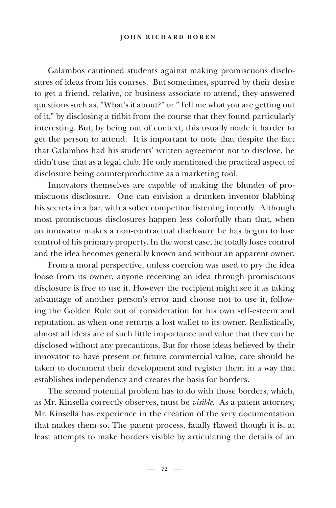Galambos cautioned students against making promiscuous disclosures of ideas from his courses. But sometimes, spurred by their desire to get a friend, relative, or business associate to attend, they answered questions such as, "What's it about?" or "Tell me what you are getting out of it," by disclosing a tidbit from the course that they found particularly interesting. But, by being out of context, this usually made it harder to get the person to attend. It is important to note that despite the fact that Galambos had his students' written agreement not to disclose, he didn't use that as a legal club. He only mentioned the practical aspect of disclosure being counterproductive as a marketing tool.

Innovators themselves are capable of making the blunder of promiscuous disclosure. One can envision a drunken inventor blabbing his secrets in a bar, with a sober competitor listening intently. Although most promiscuous disclosures happen less colorfully than that, when an innovator makes a non-contractual disclosure he has begun to lose control of his primary property. In the worst case, he totally loses control and the idea becomes generally known and without an apparent owner.

From a moral perspective, unless coercion was used to pry the idea loose from its owner, anyone receiving an idea through promiscuous disclosure is free to use it. However the recipient might see it as taking advantage of another person's error and choose not to use it, following the Golden Rule out of consideration for his own self-esteem and reputation, as when one returns a lost wallet to its owner. Realistically, almost all ideas are of such little importance and value that they can be disclosed without any precautions. But for those ideas believed by their innovator to have present or future commercial value, care should be taken to document their development and register them in a way that establishes independency and creates the basis for borders.

The second potential problem has to do with those borders, which, as Mr. Kinsella correctly observes, must be *visible.* As a patent attorney, Mr. Kinsella has experience in the creation of the very documentation that makes them so. The patent process, fatally flawed though it is, at least attempts to make borders visible by articulating the details of an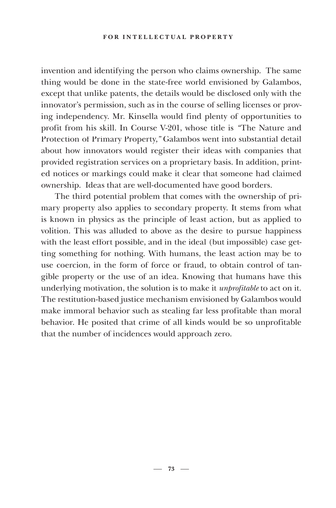invention and identifying the person who claims ownership. The same thing would be done in the state-free world envisioned by Galambos, except that unlike patents, the details would be disclosed only with the innovator's permission, such as in the course of selling licenses or proving independency. Mr. Kinsella would find plenty of opportunities to profit from his skill. In Course V-201, whose title is *"*The Nature and Protection of Primary Property*,"* Galambos went into substantial detail about how innovators would register their ideas with companies that provided registration services on a proprietary basis. In addition, printed notices or markings could make it clear that someone had claimed ownership. Ideas that are well-documented have good borders.

The third potential problem that comes with the ownership of primary property also applies to secondary property. It stems from what is known in physics as the principle of least action, but as applied to volition. This was alluded to above as the desire to pursue happiness with the least effort possible, and in the ideal (but impossible) case getting something for nothing. With humans, the least action may be to use coercion, in the form of force or fraud, to obtain control of tangible property or the use of an idea. Knowing that humans have this underlying motivation, the solution is to make it *unprofitable* to act on it. The restitution-based justice mechanism envisioned by Galambos would make immoral behavior such as stealing far less profitable than moral behavior. He posited that crime of all kinds would be so unprofitable that the number of incidences would approach zero.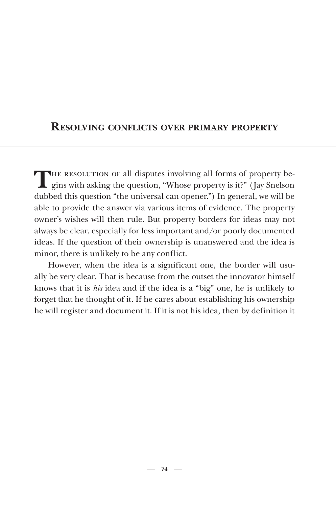## **RESOLVING CONFLICTS OVER PRIMARY PROPERTY**

THE RESOLUTION OF all disputes involving all forms of property begins with asking the question, "Whose property is it?" (Jay Snelson dubbed this question "the universal can opener.") In general, we will be able to provide the answer via various items of evidence. The property owner's wishes will then rule. But property borders for ideas may not always be clear, especially for less important and/or poorly documented ideas. If the question of their ownership is unanswered and the idea is minor, there is unlikely to be any conflict.

However, when the idea is a significant one, the border will usually be very clear. That is because from the outset the innovator himself knows that it is *his* idea and if the idea is a "big" one, he is unlikely to forget that he thought of it. If he cares about establishing his ownership he will register and document it. If it is not his idea, then by definition it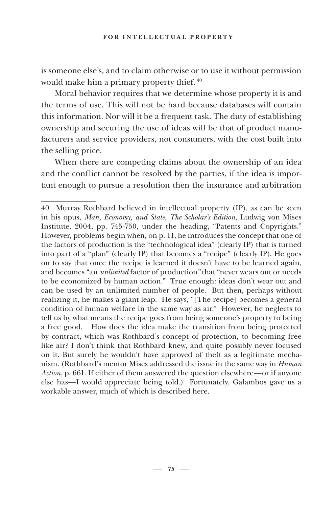is someone else's, and to claim otherwise or to use it without permission would make him a primary property thief. 40

Moral behavior requires that we determine whose property it is and the terms of use. This will not be hard because databases will contain this information. Nor will it be a frequent task. The duty of establishing ownership and securing the use of ideas will be that of product manufacturers and service providers, not consumers, with the cost built into the selling price.

When there are competing claims about the ownership of an idea and the conflict cannot be resolved by the parties, if the idea is important enough to pursue a resolution then the insurance and arbitration

<sup>40</sup> Murray Rothbard believed in intellectual property (IP), as can be seen in his opus, *Man, Economy, and State, The Scholar's Edition,* Ludwig von Mises Institute, 2004, pp. 745-750, under the heading, "Patents and Copyrights." However, problems begin when, on p. 11, he introduces the concept that one of the factors of production is the "technological idea" (clearly IP) that is turned into part of a "plan" (clearly IP) that becomes a "recipe" (clearly IP). He goes on to say that once the recipe is learned it doesn't have to be learned again, and becomes "an *unlimited* factor of production*"* that "never wears out or needs to be economized by human action." True enough: ideas don't wear out and can be used by an unlimited number of people. But then, perhaps without realizing it, he makes a giant leap. He says, "[The recipe] becomes a general condition of human welfare in the same way as air." However, he neglects to tell us by what means the recipe goes from being someone's property to being a free good. How does the idea make the transition from being protected by contract, which was Rothbard's concept of protection, to becoming free like air? I don't think that Rothbard knew, and quite possibly never focused on it. But surely he wouldn't have approved of theft as a legitimate mechanism. (Rothbard's mentor Mises addressed the issue in the same way in *Human Action*, p. 661. If either of them answered the question elsewhere—or if anyone else has—I would appreciate being told.) Fortunately, Galambos gave us a workable answer, much of which is described here.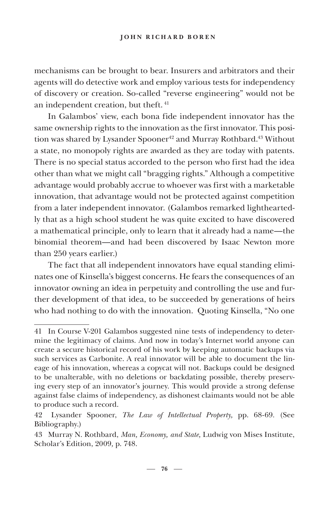mechanisms can be brought to bear. Insurers and arbitrators and their agents will do detective work and employ various tests for independency of discovery or creation. So-called "reverse engineering" would not be an independent creation, but theft.<sup>41</sup>

In Galambos' view, each bona fide independent innovator has the same ownership rights to the innovation as the first innovator. This position was shared by Lysander Spooner<sup>42</sup> and Murray Rothbard.<sup>43</sup> Without a state, no monopoly rights are awarded as they are today with patents. There is no special status accorded to the person who first had the idea other than what we might call "bragging rights." Although a competitive advantage would probably accrue to whoever was first with a marketable innovation, that advantage would not be protected against competition from a later independent innovator. (Galambos remarked lightheartedly that as a high school student he was quite excited to have discovered a mathematical principle, only to learn that it already had a name—the binomial theorem—and had been discovered by Isaac Newton more than 250 years earlier.)

The fact that all independent innovators have equal standing eliminates one of Kinsella's biggest concerns. He fears the consequences of an innovator owning an idea in perpetuity and controlling the use and further development of that idea, to be succeeded by generations of heirs who had nothing to do with the innovation. Quoting Kinsella, "No one

<sup>41</sup> In Course V-201 Galambos suggested nine tests of independency to determine the legitimacy of claims. And now in today's Internet world anyone can create a secure historical record of his work by keeping automatic backups via such services as Carbonite. A real innovator will be able to document the lineage of his innovation, whereas a copycat will not. Backups could be designed to be unalterable, with no deletions or backdating possible, thereby preserving every step of an innovator's journey. This would provide a strong defense against false claims of independency, as dishonest claimants would not be able to produce such a record.

<sup>42</sup> Lysander Spooner, *The Law of Intellectual Property,* pp. 68-69*.* (See Bibliography.)

<sup>43</sup> Murray N. Rothbard, *Man, Economy, and State,* Ludwig von Mises Institute, Scholar's Edition, 2009*,* p. 748.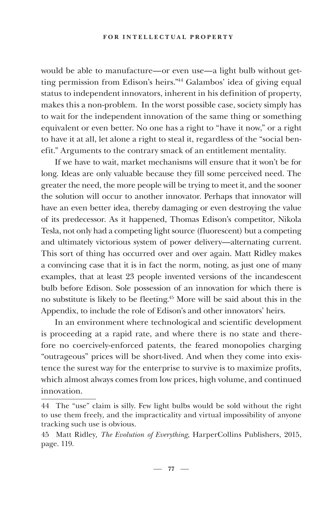#### **FOR INTELLECTUAL PROPERTY**

would be able to manufacture—or even use—a light bulb without getting permission from Edison's heirs."44 Galambos' idea of giving equal status to independent innovators, inherent in his definition of property, makes this a non-problem. In the worst possible case, society simply has to wait for the independent innovation of the same thing or something equivalent or even better. No one has a right to "have it now," or a right to have it at all, let alone a right to steal it, regardless of the "social benefit." Arguments to the contrary smack of an entitlement mentality.

If we have to wait, market mechanisms will ensure that it won't be for long. Ideas are only valuable because they fill some perceived need. The greater the need, the more people will be trying to meet it, and the sooner the solution will occur to another innovator. Perhaps that innovator will have an even better idea, thereby damaging or even destroying the value of its predecessor. As it happened, Thomas Edison's competitor, Nikola Tesla, not only had a competing light source (fluorescent) but a competing and ultimately victorious system of power delivery—alternating current. This sort of thing has occurred over and over again. Matt Ridley makes a convincing case that it is in fact the norm, noting, as just one of many examples, that at least 23 people invented versions of the incandescent bulb before Edison. Sole possession of an innovation for which there is no substitute is likely to be fleeting.45 More will be said about this in the Appendix, to include the role of Edison's and other innovators' heirs.

In an environment where technological and scientific development is proceeding at a rapid rate, and where there is no state and therefore no coercively-enforced patents, the feared monopolies charging "outrageous" prices will be short-lived. And when they come into existence the surest way for the enterprise to survive is to maximize profits, which almost always comes from low prices, high volume, and continued innovation.

<sup>44</sup> The "use" claim is silly. Few light bulbs would be sold without the right to use them freely, and the impracticality and virtual impossibility of anyone tracking such use is obvious.

<sup>45</sup> Matt Ridley*, The Evolution of Everything*, HarperCollins Publishers, 2015, page. 119.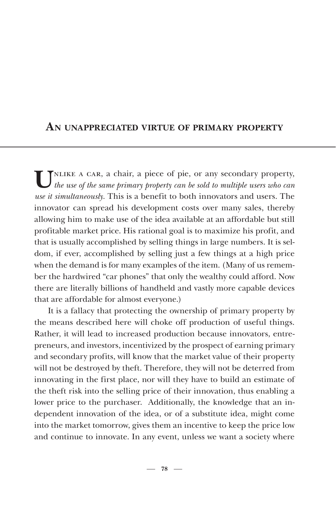## **AN UNAPPRECIATED VIRTUE OF PRIMARY PROPERTY**

UNLIKE A CAR, a chair, a piece of pie, or any secondary property, the use of the same primary property can be sold to multiple users who can *use it simultaneously.* This is a benefit to both innovators and users. The innovator can spread his development costs over many sales, thereby allowing him to make use of the idea available at an affordable but still profitable market price. His rational goal is to maximize his profit, and that is usually accomplished by selling things in large numbers. It is seldom, if ever, accomplished by selling just a few things at a high price when the demand is for many examples of the item. (Many of us remember the hardwired "car phones" that only the wealthy could afford. Now there are literally billions of handheld and vastly more capable devices that are affordable for almost everyone.)

It is a fallacy that protecting the ownership of primary property by the means described here will choke off production of useful things. Rather, it will lead to increased production because innovators, entrepreneurs, and investors, incentivized by the prospect of earning primary and secondary profits, will know that the market value of their property will not be destroyed by theft. Therefore, they will not be deterred from innovating in the first place, nor will they have to build an estimate of the theft risk into the selling price of their innovation, thus enabling a lower price to the purchaser. Additionally, the knowledge that an independent innovation of the idea, or of a substitute idea, might come into the market tomorrow, gives them an incentive to keep the price low and continue to innovate. In any event, unless we want a society where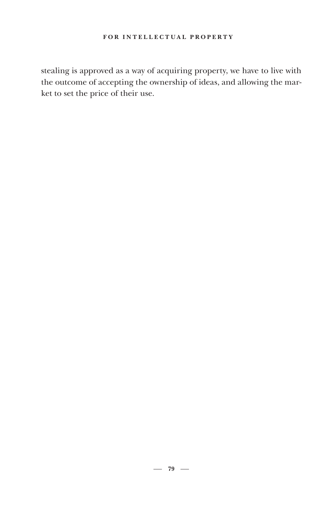stealing is approved as a way of acquiring property, we have to live with the outcome of accepting the ownership of ideas, and allowing the market to set the price of their use.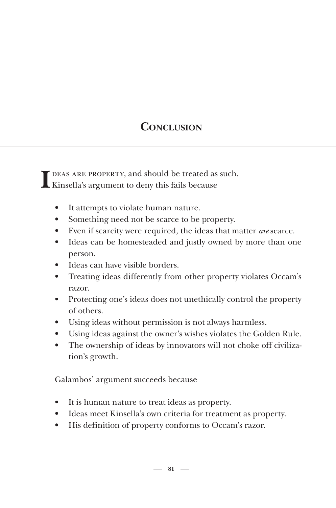# **CONCLUSION**

I DEAS ARE PROPERTY, and should be treated as Kinsella's argument to deny this fails because DEAS ARE PROPERTY, and should be treated as such.

- It attempts to violate human nature.
- Something need not be scarce to be property.
- Even if scarcity were required, the ideas that matter *are* scarce.
- Ideas can be homesteaded and justly owned by more than one person.
- Ideas can have visible borders.
- Treating ideas differently from other property violates Occam's razor.
- Protecting one's ideas does not unethically control the property of others.
- Using ideas without permission is not always harmless.
- Using ideas against the owner's wishes violates the Golden Rule.
- The ownership of ideas by innovators will not choke off civilization's growth.

Galambos' argument succeeds because

- It is human nature to treat ideas as property.
- Ideas meet Kinsella's own criteria for treatment as property.
- His definition of property conforms to Occam's razor.

 $-81 -$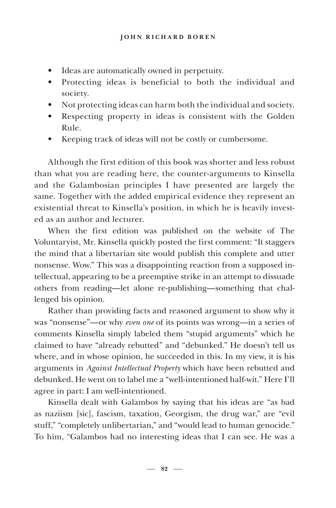- Ideas are automatically owned in perpetuity.
- Protecting ideas is beneficial to both the individual and society.
- Not protecting ideas can harm both the individual and society.
- Respecting property in ideas is consistent with the Golden Rule.
- Keeping track of ideas will not be costly or cumbersome.

Although the first edition of this book was shorter and less robust than what you are reading here, the counter-arguments to Kinsella and the Galambosian principles I have presented are largely the same. Together with the added empirical evidence they represent an existential threat to Kinsella's position, in which he is heavily invested as an author and lecturer.

When the first edition was published on the website of The Voluntaryist, Mr. Kinsella quickly posted the first comment: "It staggers the mind that a libertarian site would publish this complete and utter nonsense. Wow." This was a disappointing reaction from a supposed intellectual, appearing to be a preemptive strike in an attempt to dissuade others from reading—let alone re-publishing—something that challenged his opinion.

Rather than providing facts and reasoned argument to show why it was "nonsense"—or why *even one* of its points was wrong—in a series of comments Kinsella simply labeled them "stupid arguments" which he claimed to have "already rebutted" and "debunked." He doesn't tell us where, and in whose opinion, he succeeded in this. In my view, it is his arguments in *Against Intellectual Property* which have been rebutted and debunked. He went on to label me a "well-intentioned half-wit." Here I'll agree in part: I am well-intentioned.

Kinsella dealt with Galambos by saying that his ideas are "as bad as naziism [sic], fascism, taxation, Georgism, the drug war," are "evil stuff," "completely unlibertarian," and "would lead to human genocide." To him, "Galambos had no interesting ideas that I can see. He was a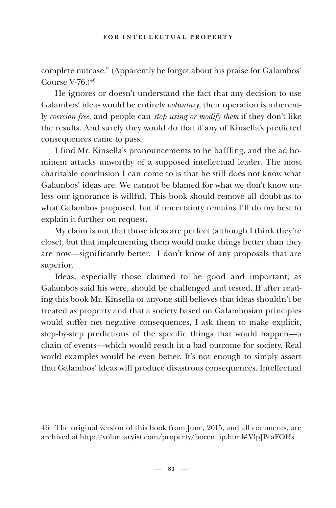complete nutcase." (Apparently he forgot about his praise for Galambos' Course  $V-76.$ )<sup>46</sup>

He ignores or doesn't understand the fact that any decision to use Galambos' ideas would be entirely *voluntary*, their operation is inherently *coercion-free,* and people can *stop using or modify them* if they don't like the results. And surely they would do that if any of Kinsella's predicted consequences came to pass.

I find Mr. Kinsella's pronouncements to be baffling, and the ad hominem attacks unworthy of a supposed intellectual leader. The most charitable conclusion I can come to is that he still does not know what Galambos' ideas are. We cannot be blamed for what we don't know unless our ignorance is willful. This book should remove all doubt as to what Galambos proposed, but if uncertainty remains I'll do my best to explain it further on request.

My claim is not that those ideas are perfect (although I think they're close), but that implementing them would make things better than they are now—significantly better. I don't know of any proposals that are superior.

Ideas, especially those claimed to be good and important, as Galambos said his were, should be challenged and tested. If after reading this book Mr. Kinsella or anyone still believes that ideas shouldn't be treated as property and that a society based on Galambosian principles would suffer net negative consequences, I ask them to make explicit, step-by-step predictions of the specific things that would happen—a chain of events—which would result in a bad outcome for society. Real world examples would be even better. It's not enough to simply assert that Galambos' ideas will produce disastrous consequences. Intellectual

<sup>46</sup> The original version of this book from June, 2015, and all comments, are archived at http://voluntaryist.com/property/boren\_ip.html#.VlpJPcaFOHs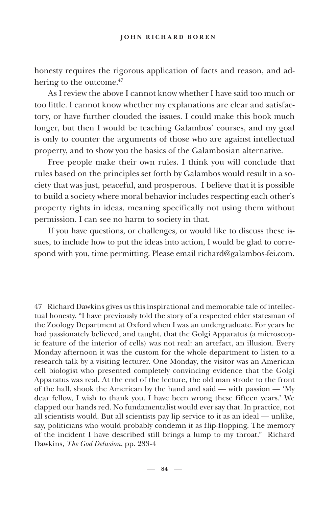honesty requires the rigorous application of facts and reason, and adhering to the outcome.<sup>47</sup>

As I review the above I cannot know whether I have said too much or too little. I cannot know whether my explanations are clear and satisfactory, or have further clouded the issues. I could make this book much longer, but then I would be teaching Galambos' courses, and my goal is only to counter the arguments of those who are against intellectual property, and to show you the basics of the Galambosian alternative.

Free people make their own rules. I think you will conclude that rules based on the principles set forth by Galambos would result in a society that was just, peaceful, and prosperous. I believe that it is possible to build a society where moral behavior includes respecting each other's property rights in ideas, meaning specifically not using them without permission. I can see no harm to society in that.

If you have questions, or challenges, or would like to discuss these issues, to include how to put the ideas into action, I would be glad to correspond with you, time permitting. Please email richard@galambos-fei.com.

<sup>47</sup> Richard Dawkins gives us this inspirational and memorable tale of intellectual honesty. "I have previously told the story of a respected elder statesman of the Zoology Department at Oxford when I was an undergraduate. For years he had passionately believed, and taught, that the Golgi Apparatus (a microscopic feature of the interior of cells) was not real: an artefact, an illusion. Every Monday afternoon it was the custom for the whole department to listen to a research talk by a visiting lecturer. One Monday, the visitor was an American cell biologist who presented completely convincing evidence that the Golgi Apparatus was real. At the end of the lecture, the old man strode to the front of the hall, shook the American by the hand and said — with passion — 'My dear fellow, I wish to thank you. I have been wrong these fifteen years.' We clapped our hands red. No fundamentalist would ever say that. In practice, not all scientists would. But all scientists pay lip service to it as an ideal — unlike, say, politicians who would probably condemn it as flip-flopping. The memory of the incident I have described still brings a lump to my throat." Richard Dawkins, *The God Delusion*, pp. 283-4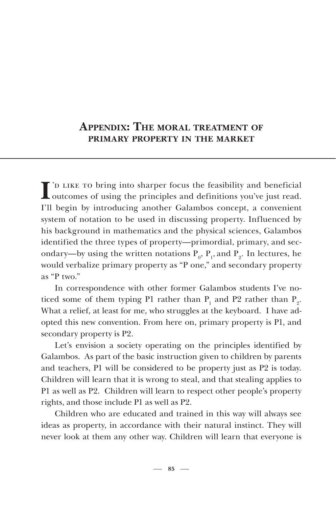## **APPENDIX: THE MORAL TREATMENT OF PRIMARY PROPERTY IN THE MARKET**

I 'D LIKE TO bring into sharper focus the feasibility and beneficial I outcomes of using the principles and definitions you've just read. I'll begin by introducing another Galambos concept, a convenient system of notation to be used in discussing property. Influenced by his background in mathematics and the physical sciences, Galambos identified the three types of property—primordial, primary, and secondary—by using the written notations  $P_0$ ,  $P_1$ , and  $P_2$ . In lectures, he would verbalize primary property as "P one," and secondary property as "P two."

In correspondence with other former Galambos students I've noticed some of them typing P1 rather than  $P_1$  and P2 rather than  $P_2$ . What a relief, at least for me, who struggles at the keyboard. I have adopted this new convention. From here on, primary property is P1, and secondary property is P2.

Let's envision a society operating on the principles identified by Galambos. As part of the basic instruction given to children by parents and teachers, P1 will be considered to be property just as P2 is today. Children will learn that it is wrong to steal, and that stealing applies to P1 as well as P2. Children will learn to respect other people's property rights, and those include P1 as well as P2.

Children who are educated and trained in this way will always see ideas as property, in accordance with their natural instinct. They will never look at them any other way. Children will learn that everyone is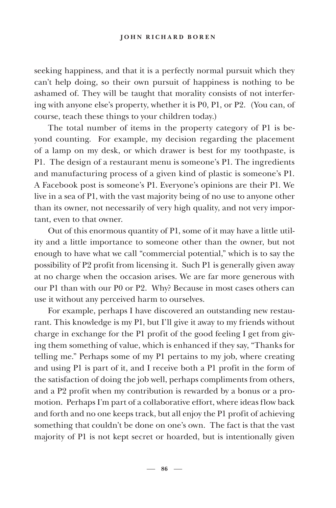seeking happiness, and that it is a perfectly normal pursuit which they can't help doing, so their own pursuit of happiness is nothing to be ashamed of. They will be taught that morality consists of not interfering with anyone else's property, whether it is P0, P1, or P2. (You can, of course, teach these things to your children today.)

The total number of items in the property category of P1 is beyond counting. For example, my decision regarding the placement of a lamp on my desk, or which drawer is best for my toothpaste, is P1. The design of a restaurant menu is someone's P1. The ingredients and manufacturing process of a given kind of plastic is someone's P1. A Facebook post is someone's P1. Everyone's opinions are their P1. We live in a sea of P1, with the vast majority being of no use to anyone other than its owner, not necessarily of very high quality, and not very important, even to that owner.

Out of this enormous quantity of P1, some of it may have a little utility and a little importance to someone other than the owner, but not enough to have what we call "commercial potential," which is to say the possibility of P2 profit from licensing it. Such P1 is generally given away at no charge when the occasion arises. We are far more generous with our P1 than with our P0 or P2. Why? Because in most cases others can use it without any perceived harm to ourselves.

For example, perhaps I have discovered an outstanding new restaurant. This knowledge is my P1, but I'll give it away to my friends without charge in exchange for the P1 profit of the good feeling I get from giving them something of value, which is enhanced if they say, "Thanks for telling me." Perhaps some of my P1 pertains to my job, where creating and using P1 is part of it, and I receive both a P1 profit in the form of the satisfaction of doing the job well, perhaps compliments from others, and a P2 profit when my contribution is rewarded by a bonus or a promotion. Perhaps I'm part of a collaborative effort, where ideas flow back and forth and no one keeps track, but all enjoy the P1 profit of achieving something that couldn't be done on one's own. The fact is that the vast majority of P1 is not kept secret or hoarded, but is intentionally given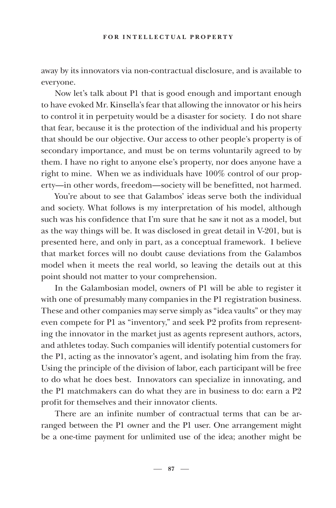away by its innovators via non-contractual disclosure, and is available to everyone.

Now let's talk about P1 that is good enough and important enough to have evoked Mr. Kinsella's fear that allowing the innovator or his heirs to control it in perpetuity would be a disaster for society. I do not share that fear, because it is the protection of the individual and his property that should be our objective. Our access to other people's property is of secondary importance, and must be on terms voluntarily agreed to by them. I have no right to anyone else's property, nor does anyone have a right to mine. When we as individuals have 100% control of our property—in other words, freedom—society will be benefitted, not harmed.

You're about to see that Galambos' ideas serve both the individual and society. What follows is my interpretation of his model, although such was his confidence that I'm sure that he saw it not as a model, but as the way things will be. It was disclosed in great detail in V-201, but is presented here, and only in part, as a conceptual framework. I believe that market forces will no doubt cause deviations from the Galambos model when it meets the real world, so leaving the details out at this point should not matter to your comprehension.

In the Galambosian model, owners of P1 will be able to register it with one of presumably many companies in the P1 registration business. These and other companies may serve simply as "idea vaults" or they may even compete for P1 as "inventory," and seek P2 profits from representing the innovator in the market just as agents represent authors, actors, and athletes today. Such companies will identify potential customers for the P1, acting as the innovator's agent, and isolating him from the fray. Using the principle of the division of labor, each participant will be free to do what he does best. Innovators can specialize in innovating, and the P1 matchmakers can do what they are in business to do: earn a P2 profit for themselves and their innovator clients.

There are an infinite number of contractual terms that can be arranged between the P1 owner and the P1 user. One arrangement might be a one-time payment for unlimited use of the idea; another might be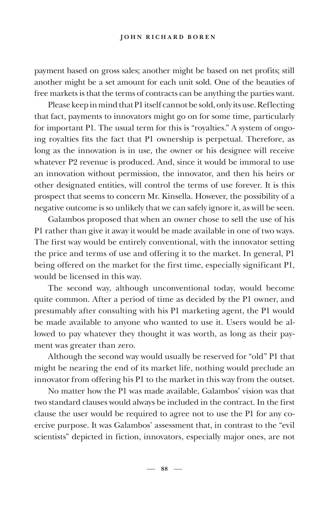payment based on gross sales; another might be based on net profits; still another might be a set amount for each unit sold. One of the beauties of free markets is that the terms of contracts can be anything the parties want.

Please keep in mind that P1 itself cannot be sold, only its use. Reflecting that fact, payments to innovators might go on for some time, particularly for important P1. The usual term for this is "royalties." A system of ongoing royalties fits the fact that P1 ownership is perpetual. Therefore, as long as the innovation is in use, the owner or his designee will receive whatever P2 revenue is produced. And, since it would be immoral to use an innovation without permission, the innovator, and then his heirs or other designated entities, will control the terms of use forever. It is this prospect that seems to concern Mr. Kinsella. However, the possibility of a negative outcome is so unlikely that we can safely ignore it, as will be seen.

Galambos proposed that when an owner chose to sell the use of his P1 rather than give it away it would be made available in one of two ways. The first way would be entirely conventional, with the innovator setting the price and terms of use and offering it to the market. In general, P1 being offered on the market for the first time, especially significant P1, would be licensed in this way.

The second way, although unconventional today, would become quite common. After a period of time as decided by the P1 owner, and presumably after consulting with his P1 marketing agent, the P1 would be made available to anyone who wanted to use it. Users would be allowed to pay whatever they thought it was worth, as long as their payment was greater than zero.

Although the second way would usually be reserved for "old" P1 that might be nearing the end of its market life, nothing would preclude an innovator from offering his P1 to the market in this way from the outset.

No matter how the P1 was made available, Galambos' vision was that two standard clauses would always be included in the contract. In the first clause the user would be required to agree not to use the P1 for any coercive purpose. It was Galambos' assessment that, in contrast to the "evil scientists" depicted in fiction, innovators, especially major ones, are not

**88**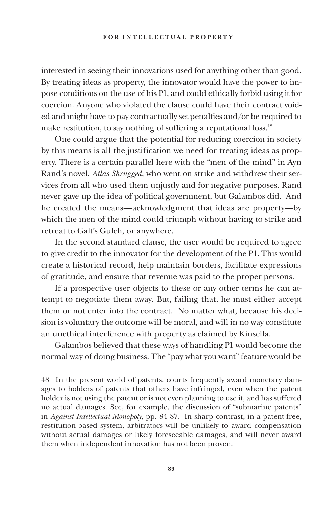interested in seeing their innovations used for anything other than good. By treating ideas as property, the innovator would have the power to impose conditions on the use of his P1, and could ethically forbid using it for coercion. Anyone who violated the clause could have their contract voided and might have to pay contractually set penalties and/or be required to make restitution, to say nothing of suffering a reputational loss.<sup>48</sup>

One could argue that the potential for reducing coercion in society by this means is all the justification we need for treating ideas as property. There is a certain parallel here with the "men of the mind" in Ayn Rand's novel, *Atlas Shrugged*, who went on strike and withdrew their services from all who used them unjustly and for negative purposes. Rand never gave up the idea of political government, but Galambos did. And he created the means—acknowledgment that ideas are property—by which the men of the mind could triumph without having to strike and retreat to Galt's Gulch, or anywhere.

In the second standard clause, the user would be required to agree to give credit to the innovator for the development of the P1. This would create a historical record, help maintain borders, facilitate expressions of gratitude, and ensure that revenue was paid to the proper persons.

If a prospective user objects to these or any other terms he can attempt to negotiate them away. But, failing that, he must either accept them or not enter into the contract. No matter what, because his decision is voluntary the outcome will be moral, and will in no way constitute an unethical interference with property as claimed by Kinsella.

Galambos believed that these ways of handling P1 would become the normal way of doing business. The "pay what you want" feature would be

<sup>48</sup> In the present world of patents, courts frequently award monetary damages to holders of patents that others have infringed, even when the patent holder is not using the patent or is not even planning to use it, and has suffered no actual damages. See, for example, the discussion of "submarine patents" in *Against Intellectual Monopoly,* pp. 84-87. In sharp contrast, in a patent-free, restitution-based system, arbitrators will be unlikely to award compensation without actual damages or likely foreseeable damages, and will never award them when independent innovation has not been proven.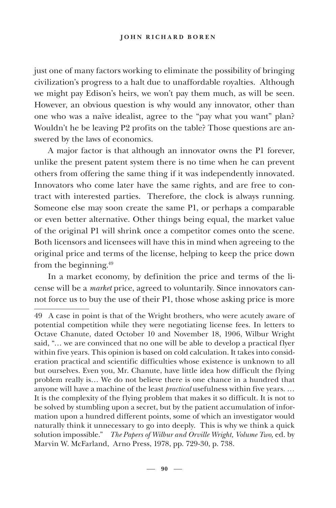#### **JOHN RICHARD BOREN**

just one of many factors working to eliminate the possibility of bringing civilization's progress to a halt due to unaffordable royalties. Although we might pay Edison's heirs, we won't pay them much, as will be seen. However, an obvious question is why would any innovator, other than one who was a naïve idealist, agree to the "pay what you want" plan? Wouldn't he be leaving P2 profits on the table? Those questions are answered by the laws of economics.

A major factor is that although an innovator owns the P1 forever, unlike the present patent system there is no time when he can prevent others from offering the same thing if it was independently innovated. Innovators who come later have the same rights, and are free to contract with interested parties. Therefore, the clock is always running. Someone else may soon create the same P1, or perhaps a comparable or even better alternative. Other things being equal, the market value of the original P1 will shrink once a competitor comes onto the scene. Both licensors and licensees will have this in mind when agreeing to the original price and terms of the license, helping to keep the price down from the beginning.49

In a market economy, by definition the price and terms of the license will be a *market* price, agreed to voluntarily. Since innovators cannot force us to buy the use of their P1, those whose asking price is more

<sup>49</sup> A case in point is that of the Wright brothers, who were acutely aware of potential competition while they were negotiating license fees. In letters to Octave Chanute, dated October 10 and November 18, 1906, Wilbur Wright said, "… we are convinced that no one will be able to develop a practical flyer within five years. This opinion is based on cold calculation. It takes into consideration practical and scientific difficulties whose existence is unknown to all but ourselves. Even you, Mr. Chanute, have little idea how difficult the flying problem really is… We do not believe there is one chance in a hundred that anyone will have a machine of the least *practical* usefulness within five years. … It is the complexity of the flying problem that makes it so difficult. It is not to be solved by stumbling upon a secret, but by the patient accumulation of information upon a hundred different points, some of which an investigator would naturally think it unnecessary to go into deeply. This is why we think a quick solution impossible." *The Papers of Wilbur and Orville Wright, Volume Two,* ed. by Marvin W. McFarland, Arno Press, 1978, pp. 729-30, p. 738.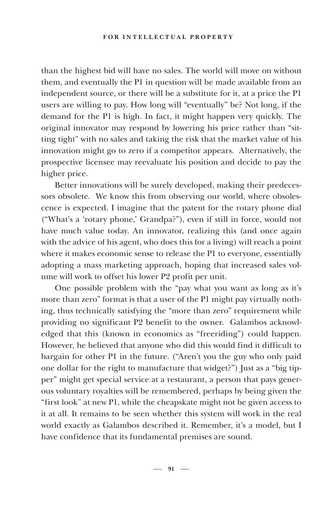#### **FOR INTELLECTUAL PROPERTY**

than the highest bid will have no sales. The world will move on without them, and eventually the P1 in question will be made available from an independent source, or there will be a substitute for it, at a price the P1 users are willing to pay. How long will "eventually" be? Not long, if the demand for the P1 is high. In fact, it might happen very quickly. The original innovator may respond by lowering his price rather than "sitting tight" with no sales and taking the risk that the market value of his innovation might go to zero if a competitor appears. Alternatively, the prospective licensee may reevaluate his position and decide to pay the higher price.

Better innovations will be surely developed, making their predecessors obsolete. We know this from observing our world, where obsolescence is expected. I imagine that the patent for the rotary phone dial ("What's a 'rotary phone,' Grandpa?"), even if still in force, would not have much value today. An innovator, realizing this (and once again with the advice of his agent, who does this for a living) will reach a point where it makes economic sense to release the P1 to everyone, essentially adopting a mass marketing approach, hoping that increased sales volume will work to offset his lower P2 profit per unit.

One possible problem with the "pay what you want as long as it's more than zero" format is that a user of the P1 might pay virtually nothing, thus technically satisfying the "more than zero" requirement while providing no significant P2 benefit to the owner. Galambos acknowledged that this (known in economics as "freeriding") could happen. However, he believed that anyone who did this would find it difficult to bargain for other P1 in the future. ("Aren't you the guy who only paid one dollar for the right to manufacture that widget?") Just as a "big tipper" might get special service at a restaurant, a person that pays generous voluntary royalties will be remembered, perhaps by being given the "first look" at new P1, while the cheapskate might not be given access to it at all. It remains to be seen whether this system will work in the real world exactly as Galambos described it. Remember, it's a model, but I have confidence that its fundamental premises are sound.

 $-91 -$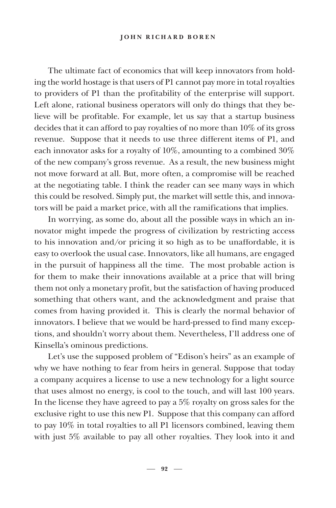The ultimate fact of economics that will keep innovators from holding the world hostage is that users of P1 cannot pay more in total royalties to providers of P1 than the profitability of the enterprise will support. Left alone, rational business operators will only do things that they believe will be profitable. For example, let us say that a startup business decides that it can afford to pay royalties of no more than 10% of its gross revenue. Suppose that it needs to use three different items of P1, and each innovator asks for a royalty of 10%, amounting to a combined 30% of the new company's gross revenue. As a result, the new business might not move forward at all. But, more often, a compromise will be reached at the negotiating table. I think the reader can see many ways in which this could be resolved. Simply put, the market will settle this, and innovators will be paid a market price, with all the ramifications that implies.

In worrying, as some do, about all the possible ways in which an innovator might impede the progress of civilization by restricting access to his innovation and/or pricing it so high as to be unaffordable, it is easy to overlook the usual case. Innovators, like all humans, are engaged in the pursuit of happiness all the time. The most probable action is for them to make their innovations available at a price that will bring them not only a monetary profit, but the satisfaction of having produced something that others want, and the acknowledgment and praise that comes from having provided it. This is clearly the normal behavior of innovators. I believe that we would be hard-pressed to find many exceptions, and shouldn't worry about them. Nevertheless, I'll address one of Kinsella's ominous predictions.

Let's use the supposed problem of "Edison's heirs" as an example of why we have nothing to fear from heirs in general. Suppose that today a company acquires a license to use a new technology for a light source that uses almost no energy, is cool to the touch, and will last 100 years. In the license they have agreed to pay a 5% royalty on gross sales for the exclusive right to use this new P1. Suppose that this company can afford to pay 10% in total royalties to all P1 licensors combined, leaving them with just 5% available to pay all other royalties. They look into it and

 $-92 -$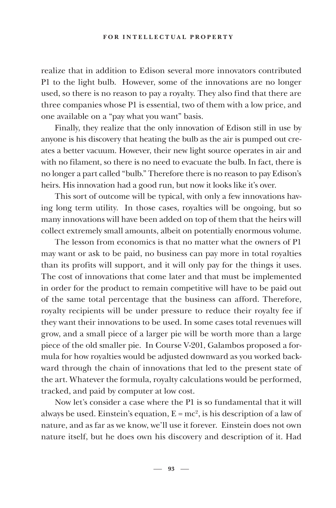realize that in addition to Edison several more innovators contributed P1 to the light bulb. However, some of the innovations are no longer used, so there is no reason to pay a royalty. They also find that there are three companies whose P1 is essential, two of them with a low price, and one available on a "pay what you want" basis.

Finally, they realize that the only innovation of Edison still in use by anyone is his discovery that heating the bulb as the air is pumped out creates a better vacuum. However, their new light source operates in air and with no filament, so there is no need to evacuate the bulb. In fact, there is no longer a part called "bulb." Therefore there is no reason to pay Edison's heirs. His innovation had a good run, but now it looks like it's over.

This sort of outcome will be typical, with only a few innovations having long term utility. In those cases, royalties will be ongoing, but so many innovations will have been added on top of them that the heirs will collect extremely small amounts, albeit on potentially enormous volume.

The lesson from economics is that no matter what the owners of P1 may want or ask to be paid, no business can pay more in total royalties than its profits will support, and it will only pay for the things it uses. The cost of innovations that come later and that must be implemented in order for the product to remain competitive will have to be paid out of the same total percentage that the business can afford. Therefore, royalty recipients will be under pressure to reduce their royalty fee if they want their innovations to be used. In some cases total revenues will grow, and a small piece of a larger pie will be worth more than a large piece of the old smaller pie. In Course V-201, Galambos proposed a formula for how royalties would be adjusted downward as you worked backward through the chain of innovations that led to the present state of the art. Whatever the formula, royalty calculations would be performed, tracked, and paid by computer at low cost.

Now let's consider a case where the P1 is so fundamental that it will always be used. Einstein's equation,  $E = mc^2$ , is his description of a law of nature, and as far as we know, we'll use it forever. Einstein does not own nature itself, but he does own his discovery and description of it. Had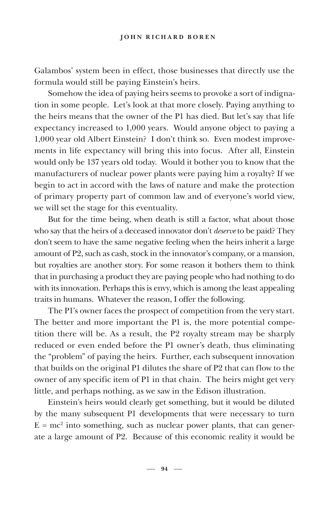Galambos' system been in effect, those businesses that directly use the formula would still be paying Einstein's heirs.

Somehow the idea of paying heirs seems to provoke a sort of indignation in some people. Let's look at that more closely. Paying anything to the heirs means that the owner of the P1 has died. But let's say that life expectancy increased to 1,000 years. Would anyone object to paying a 1,000 year old Albert Einstein? I don't think so. Even modest improvements in life expectancy will bring this into focus. After all, Einstein would only be 137 years old today. Would it bother you to know that the manufacturers of nuclear power plants were paying him a royalty? If we begin to act in accord with the laws of nature and make the protection of primary property part of common law and of everyone's world view, we will set the stage for this eventuality.

But for the time being, when death is still a factor, what about those who say that the heirs of a deceased innovator don't *deserve* to be paid? They don't seem to have the same negative feeling when the heirs inherit a large amount of P2, such as cash, stock in the innovator's company, or a mansion, but royalties are another story. For some reason it bothers them to think that in purchasing a product they are paying people who had nothing to do with its innovation. Perhaps this is envy, which is among the least appealing traits in humans. Whatever the reason, I offer the following.

The P1's owner faces the prospect of competition from the very start. The better and more important the P1 is, the more potential competition there will be. As a result, the P2 royalty stream may be sharply reduced or even ended before the P1 owner's death, thus eliminating the "problem" of paying the heirs. Further, each subsequent innovation that builds on the original P1 dilutes the share of P2 that can flow to the owner of any specific item of P1 in that chain. The heirs might get very little, and perhaps nothing, as we saw in the Edison illustration.

Einstein's heirs would clearly get something, but it would be diluted by the many subsequent P1 developments that were necessary to turn  $E = mc<sup>2</sup>$  into something, such as nuclear power plants, that can generate a large amount of P2. Because of this economic reality it would be

 $-94 -$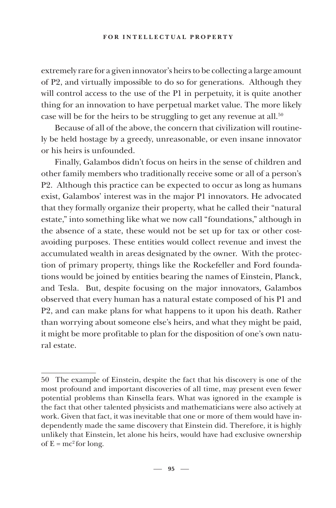#### **FOR INTELLECTUAL PROPERTY**

extremely rare for a given innovator's heirs to be collecting a large amount of P2, and virtually impossible to do so for generations. Although they will control access to the use of the P1 in perpetuity, it is quite another thing for an innovation to have perpetual market value. The more likely case will be for the heirs to be struggling to get any revenue at all.<sup>50</sup>

Because of all of the above, the concern that civilization will routinely be held hostage by a greedy, unreasonable, or even insane innovator or his heirs is unfounded.

Finally, Galambos didn't focus on heirs in the sense of children and other family members who traditionally receive some or all of a person's P2. Although this practice can be expected to occur as long as humans exist, Galambos' interest was in the major P1 innovators. He advocated that they formally organize their property, what he called their "natural estate," into something like what we now call "foundations," although in the absence of a state, these would not be set up for tax or other costavoiding purposes. These entities would collect revenue and invest the accumulated wealth in areas designated by the owner. With the protection of primary property, things like the Rockefeller and Ford foundations would be joined by entities bearing the names of Einstein, Planck, and Tesla. But, despite focusing on the major innovators, Galambos observed that every human has a natural estate composed of his P1 and P2, and can make plans for what happens to it upon his death. Rather than worrying about someone else's heirs, and what they might be paid, it might be more profitable to plan for the disposition of one's own natural estate.

<sup>50</sup> The example of Einstein, despite the fact that his discovery is one of the most profound and important discoveries of all time, may present even fewer potential problems than Kinsella fears. What was ignored in the example is the fact that other talented physicists and mathematicians were also actively at work. Given that fact, it was inevitable that one or more of them would have independently made the same discovery that Einstein did. Therefore, it is highly unlikely that Einstein, let alone his heirs, would have had exclusive ownership of  $E = mc^2$  for long.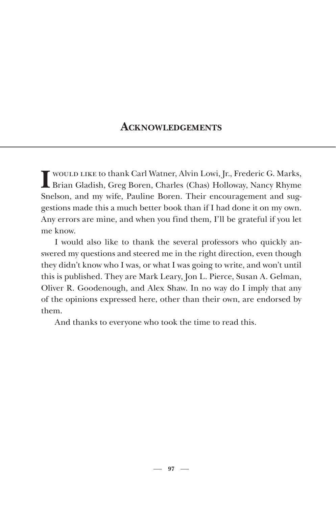## **ACKNOWLEDGEMENTS**

**I** would like to thank Carl Watner, Alvin Lowi, Jr., Frederic G. Marks, Brian Gladish, Greg Boren, Charles (Chas) Holloway, Nancy Rhyme Snelson, and my wife, Pauline Boren. Their encouragement and suggestions made this a much better book than if I had done it on my own. Any errors are mine, and when you find them, I'll be grateful if you let me know.

I would also like to thank the several professors who quickly answered my questions and steered me in the right direction, even though they didn't know who I was, or what I was going to write, and won't until this is published. They are Mark Leary, Jon L. Pierce, Susan A. Gelman, Oliver R. Goodenough, and Alex Shaw. In no way do I imply that any of the opinions expressed here, other than their own, are endorsed by them.

And thanks to everyone who took the time to read this.

 $-97 -$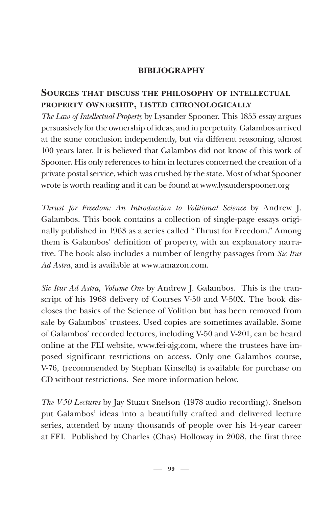## **BIBLIOGRAPHY**

## **SOURCES THAT DISCUSS THE PHILOSOPHY OF INTELLECTUAL PROPERTY OWNERSHIP, LISTED CHRONOLOGICALLY**

*The Law of Intellectual Property* by Lysander Spooner. This 1855 essay argues persuasively for the ownership of ideas, and in perpetuity. Galambos arrived at the same conclusion independently, but via different reasoning, almost 100 years later. It is believed that Galambos did not know of this work of Spooner. His only references to him in lectures concerned the creation of a private postal service, which was crushed by the state. Most of what Spooner wrote is worth reading and it can be found at www.lysanderspooner.org

*Thrust for Freedom: An Introduction to Volitional Science* by Andrew J. Galambos. This book contains a collection of single-page essays originally published in 1963 as a series called "Thrust for Freedom." Among them is Galambos' definition of property, with an explanatory narrative. The book also includes a number of lengthy passages from *Sic Itur Ad Astra*, and is available at www.amazon.com.

*Sic Itur Ad Astra, Volume One* by Andrew J. Galambos. This is the transcript of his 1968 delivery of Courses V-50 and V-50X. The book discloses the basics of the Science of Volition but has been removed from sale by Galambos' trustees. Used copies are sometimes available. Some of Galambos' recorded lectures, including V-50 and V-201, can be heard online at the FEI website, www.fei-ajg.com, where the trustees have imposed significant restrictions on access. Only one Galambos course, V-76, (recommended by Stephan Kinsella) is available for purchase on CD without restrictions. See more information below.

*The V-50 Lectures* by Jay Stuart Snelson (1978 audio recording). Snelson put Galambos' ideas into a beautifully crafted and delivered lecture series, attended by many thousands of people over his 14-year career at FEI. Published by Charles (Chas) Holloway in 2008, the first three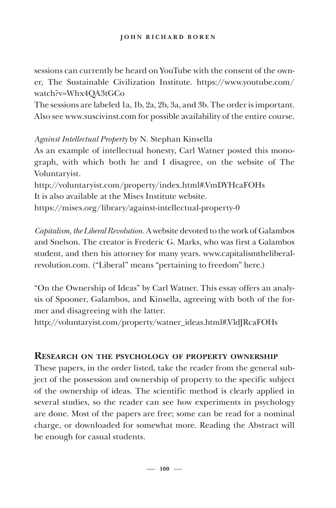sessions can currently be heard on YouTube with the consent of the owner, The Sustainable Civilization Institute. https://www.youtube.com/ watch?v=Whx4QA3tGCo

The sessions are labeled 1a, 1b, 2a, 2b, 3a, and 3b. The order is important. Also see www.suscivinst.com for possible availability of the entire course.

*Against Intellectual Property* by N. Stephan Kinsella

As an example of intellectual honesty, Carl Watner posted this monograph, with which both he and I disagree, on the website of The Voluntaryist.

http://voluntaryist.com/property/index.html#.VmDYHcaFOHs It is also available at the Mises Institute website. https://mises.org/library/against-intellectual-property-0

*Capitalism, the Liberal Revolution.* A website devoted to the work of Galambos and Snelson. The creator is Frederic G. Marks, who was first a Galambos student, and then his attorney for many years. www.capitalismtheliberalrevolution.com. ("Liberal" means "pertaining to freedom" here.)

"On the Ownership of Ideas" by Carl Watner*.* This essay offers an analysis of Spooner, Galambos, and Kinsella, agreeing with both of the former and disagreeing with the latter.

http://voluntaryist.com/property/watner\_ideas.html#.VldJRcaFOHs

## **RESEARCH ON THE PSYCHOLOGY OF PROPERTY OWNERSHIP**

These papers, in the order listed, take the reader from the general subject of the possession and ownership of property to the specific subject of the ownership of ideas. The scientific method is clearly applied in several studies, so the reader can see how experiments in psychology are done. Most of the papers are free; some can be read for a nominal charge, or downloaded for somewhat more. Reading the Abstract will be enough for casual students.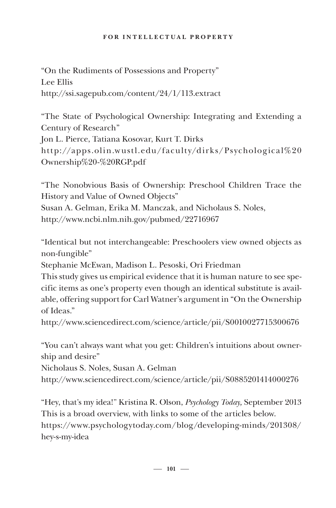#### **FOR INTELLECTUAL PROPERTY**

"On the Rudiments of Possessions and Property" Lee Ellis http://ssi.sagepub.com/content/24/1/113.extract

"The State of Psychological Ownership: Integrating and Extending a Century of Research" Jon L. Pierce, Tatiana Kosovar, Kurt T. Dirks http://apps.olin.wustl.edu/faculty/dirks/Psychological%20 Ownership%20-%20RGP.pdf

"The Nonobvious Basis of Ownership: Preschool Children Trace the History and Value of Owned Objects" Susan A. Gelman, Erika M. Manczak, and Nicholaus S. Noles, http://www.ncbi.nlm.nih.gov/pubmed/22716967

"Identical but not interchangeable: Preschoolers view owned objects as non-fungible"

Stephanie McEwan, Madison L. Pesoski, Ori Friedman

This study gives us empirical evidence that it is human nature to see specific items as one's property even though an identical substitute is available, offering support for Carl Watner's argument in "On the Ownership of Ideas."

http://www.sciencedirect.com/science/article/pii/S0010027715300676

"You can't always want what you get: Children's intuitions about ownership and desire"

Nicholaus S. Noles, Susan A. Gelman

http://www.sciencedirect.com/science/article/pii/S0885201414000276

"Hey, that's my idea!" Kristina R. Olson, *Psychology Today,* September 2013 This is a broad overview, with links to some of the articles below. https://www.psychologytoday.com/blog/developing-minds/201308/ hey-s-my-idea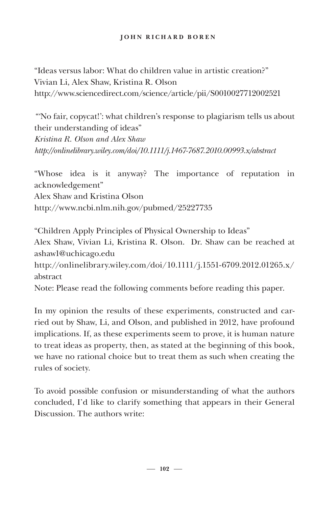#### **JOHN RICHARD BOREN**

"Ideas versus labor: What do children value in artistic creation?" Vivian Li, Alex Shaw, Kristina R. Olson http://www.sciencedirect.com/science/article/pii/S0010027712002521

*"'*No fair, copycat!': what children's response to plagiarism tells us about their understanding of ideas" *Kristina R. Olson and Alex Shaw http://onlinelibrary.wiley.com/doi/10.1111/j.1467-7687.2010.00993.x/abstract*

"Whose idea is it anyway? The importance of reputation in acknowledgement" Alex Shaw and Kristina Olson http://www.ncbi.nlm.nih.gov/pubmed/25227735

"Children Apply Principles of Physical Ownership to Ideas" Alex Shaw, Vivian Li, Kristina R. Olson. Dr. Shaw can be reached at ashaw1@uchicago.edu http://onlinelibrary.wiley.com/doi/10.1111/j.1551-6709.2012.01265.x/ abstract Note: Please read the following comments before reading this paper.

In my opinion the results of these experiments, constructed and carried out by Shaw, Li, and Olson, and published in 2012, have profound implications. If, as these experiments seem to prove, it is human nature to treat ideas as property, then, as stated at the beginning of this book, we have no rational choice but to treat them as such when creating the rules of society.

To avoid possible confusion or misunderstanding of what the authors concluded, I'd like to clarify something that appears in their General Discussion. The authors write:

 $-102 -$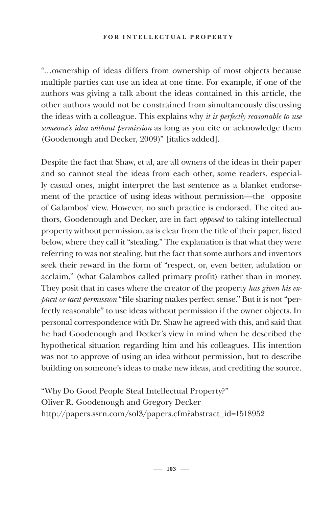#### **FOR INTELLECTUAL PROPERTY**

"…ownership of ideas differs from ownership of most objects because multiple parties can use an idea at one time. For example, if one of the authors was giving a talk about the ideas contained in this article, the other authors would not be constrained from simultaneously discussing the ideas with a colleague. This explains why *it is perfectly reasonable to use someone's idea without permission* as long as you cite or acknowledge them (Goodenough and Decker, 2009)" [italics added].

Despite the fact that Shaw, et al, are all owners of the ideas in their paper and so cannot steal the ideas from each other, some readers, especially casual ones, might interpret the last sentence as a blanket endorsement of the practice of using ideas without permission—the opposite of Galambos' view. However, no such practice is endorsed. The cited authors, Goodenough and Decker, are in fact *opposed* to taking intellectual property without permission, as is clear from the title of their paper, listed below, where they call it "stealing." The explanation is that what they were referring to was not stealing, but the fact that some authors and inventors seek their reward in the form of "respect, or, even better, adulation or acclaim," (what Galambos called primary profit) rather than in money. They posit that in cases where the creator of the property *has given his explicit or tacit permission* "file sharing makes perfect sense." But it is not "perfectly reasonable" to use ideas without permission if the owner objects. In personal correspondence with Dr. Shaw he agreed with this, and said that he had Goodenough and Decker's view in mind when he described the hypothetical situation regarding him and his colleagues. His intention was not to approve of using an idea without permission, but to describe building on someone's ideas to make new ideas, and crediting the source.

"Why Do Good People Steal Intellectual Property?" Oliver R. Goodenough and Gregory Decker http://papers.ssrn.com/sol3/papers.cfm?abstract\_id=1518952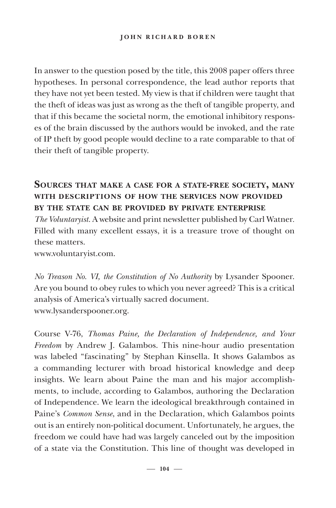In answer to the question posed by the title, this 2008 paper offers three hypotheses. In personal correspondence, the lead author reports that they have not yet been tested. My view is that if children were taught that the theft of ideas was just as wrong as the theft of tangible property, and that if this became the societal norm, the emotional inhibitory responses of the brain discussed by the authors would be invoked, and the rate of IP theft by good people would decline to a rate comparable to that of their theft of tangible property.

# **SOURCES THAT MAKE A CASE FOR A STATE-FREE SOCIETY, MANY WITH DESCRIPTIONS OF HOW THE SERVICES NOW PROVIDED BY THE STATE CAN BE PROVIDED BY PRIVATE ENTERPRISE**

*The Voluntaryist.* A website and print newsletter published by Carl Watner*.*  Filled with many excellent essays, it is a treasure trove of thought on these matters.

www.voluntaryist.com.

*No Treason No. VI, the Constitution of No Authority* by Lysander Spooner. Are you bound to obey rules to which you never agreed? This is a critical analysis of America's virtually sacred document. www.lysanderspooner.org.

Course V-76, *Thomas Paine, the Declaration of Independence, and Your Freedom* by Andrew J. Galambos. This nine-hour audio presentation was labeled "fascinating" by Stephan Kinsella. It shows Galambos as a commanding lecturer with broad historical knowledge and deep insights. We learn about Paine the man and his major accomplishments, to include, according to Galambos, authoring the Declaration of Independence. We learn the ideological breakthrough contained in Paine's *Common Sense*, and in the Declaration, which Galambos points out is an entirely non-political document. Unfortunately, he argues, the freedom we could have had was largely canceled out by the imposition of a state via the Constitution. This line of thought was developed in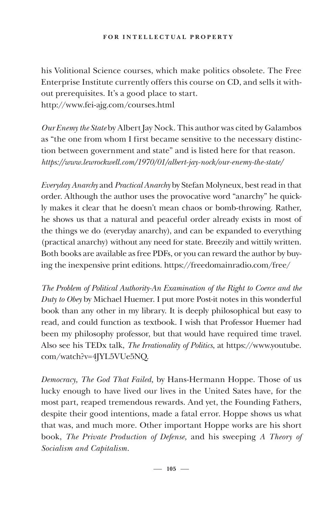#### **FOR INTELLECTUAL PROPERTY**

his Volitional Science courses, which make politics obsolete. The Free Enterprise Institute currently offers this course on CD, and sells it without prerequisites. It's a good place to start. http://www.fei-ajg.com/courses.html

*Our Enemy the State* by Albert Jay Nock. This author was cited by Galambos as "the one from whom I first became sensitive to the necessary distinction between government and state" and is listed here for that reason. *https://www.lewrockwell.com/1970/01/albert-jay-nock/our-enemy-the-state/*

*Everyday Anarchy* and *Practical Anarchy* by Stefan Molyneux, best read in that order. Although the author uses the provocative word "anarchy" he quickly makes it clear that he doesn't mean chaos or bomb-throwing. Rather, he shows us that a natural and peaceful order already exists in most of the things we do (everyday anarchy), and can be expanded to everything (practical anarchy) without any need for state. Breezily and wittily written. Both books are available as free PDFs, or you can reward the author by buying the inexpensive print editions. https://freedomainradio.com/free/

*The Problem of Political Authority-An Examination of the Right to Coerce and the Duty to Obey* by Michael Huemer. I put more Post-it notes in this wonderful book than any other in my library. It is deeply philosophical but easy to read, and could function as textbook. I wish that Professor Huemer had been my philosophy professor, but that would have required time travel. Also see his TEDx talk, *The Irrationality of Politics*, at https://www.youtube. com/watch?v=4JYL5VUe5NQ.

*Democracy, The God That Failed,* by Hans-Hermann Hoppe. Those of us lucky enough to have lived our lives in the United Sates have, for the most part, reaped tremendous rewards. And yet, the Founding Fathers, despite their good intentions, made a fatal error. Hoppe shows us what that was, and much more. Other important Hoppe works are his short book, *The Private Production of Defense,* and his sweeping *A Theory of Socialism and Capitalism.*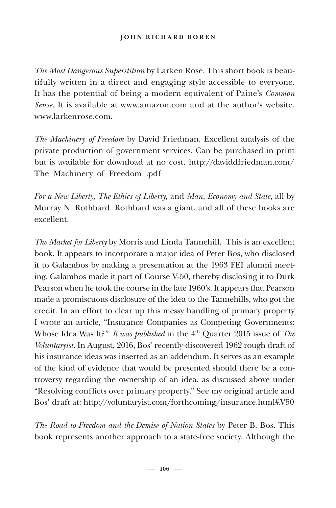*The Most Dangerous Superstition* by Larken Rose. This short book is beautifully written in a direct and engaging style accessible to everyone. It has the potential of being a modern equivalent of Paine's *Common Sense.* It is available at www.amazon.com and at the author's website, www.larkenrose.com.

*The Machinery of Freedom* by David Friedman. Excellent analysis of the private production of government services. Can be purchased in print but is available for download at no cost. http://daviddfriedman.com/ The\_Machinery\_of\_Freedom\_.pdf

*For a New Liberty, The Ethics of Liberty,* and *Man, Economy and State,* all by Murray N. Rothbard. Rothbard was a giant, and all of these books are excellent.

*The Market for Liberty* by Morris and Linda Tannehill. This is an excellent book. It appears to incorporate a major idea of Peter Bos, who disclosed it to Galambos by making a presentation at the 1963 FEI alumni meeting. Galambos made it part of Course V-50, thereby disclosing it to Durk Pearson when he took the course in the late 1960's. It appears that Pearson made a promiscuous disclosure of the idea to the Tannehills, who got the credit. In an effort to clear up this messy handling of primary property I wrote an article, "Insurance Companies as Competing Governments: Whose Idea Was It?*" It was published* in the 4th Quarter 2015 issue of *The Voluntaryist*. In August, 2016, Bos' recently-discovered 1962 rough draft of his insurance ideas was inserted as an addendum. It serves as an example of the kind of evidence that would be presented should there be a controversy regarding the ownership of an idea, as discussed above under "Resolving conflicts over primary property." See my original article and Bos' draft at: http://voluntaryist.com/forthcoming/insurance.html#.V50

*The Road to Freedom and the Demise of Nation States* by Peter B. Bos. This book represents another approach to a state-free society. Although the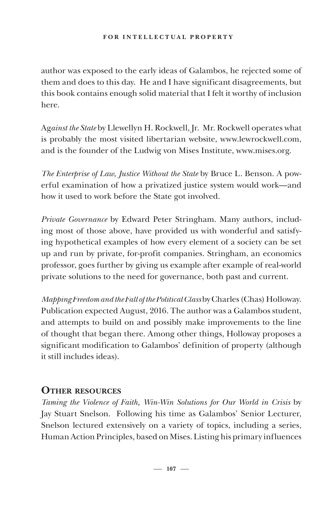### **FOR INTELLECTUAL PROPERTY**

author was exposed to the early ideas of Galambos, he rejected some of them and does to this day. He and I have significant disagreements, but this book contains enough solid material that I felt it worthy of inclusion here.

Ag*ainst the State* by Llewellyn H. Rockwell, Jr. Mr. Rockwell operates what is probably the most visited libertarian website, www.lewrockwell.com, and is the founder of the Ludwig von Mises Institute, www.mises.org.

*The Enterprise of Law, Justice Without the State* by Bruce L. Benson. A powerful examination of how a privatized justice system would work—and how it used to work before the State got involved.

*Private Governance* by Edward Peter Stringham. Many authors, including most of those above, have provided us with wonderful and satisfying hypothetical examples of how every element of a society can be set up and run by private, for-profit companies. Stringham, an economics professor, goes further by giving us example after example of real-world private solutions to the need for governance, both past and current.

*Mapping Freedom and the Fall of the Political Class* by Charles (Chas) Holloway. Publication expected August, 2016. The author was a Galambos student, and attempts to build on and possibly make improvements to the line of thought that began there. Among other things, Holloway proposes a significant modification to Galambos' definition of property (although it still includes ideas).

## **OTHER RESOURCES**

*Taming the Violence of Faith, Win-Win Solutions for Our World in Crisis* by Jay Stuart Snelson. Following his time as Galambos' Senior Lecturer, Snelson lectured extensively on a variety of topics, including a series, Human Action Principles*,* based on Mises. Listing his primary influences